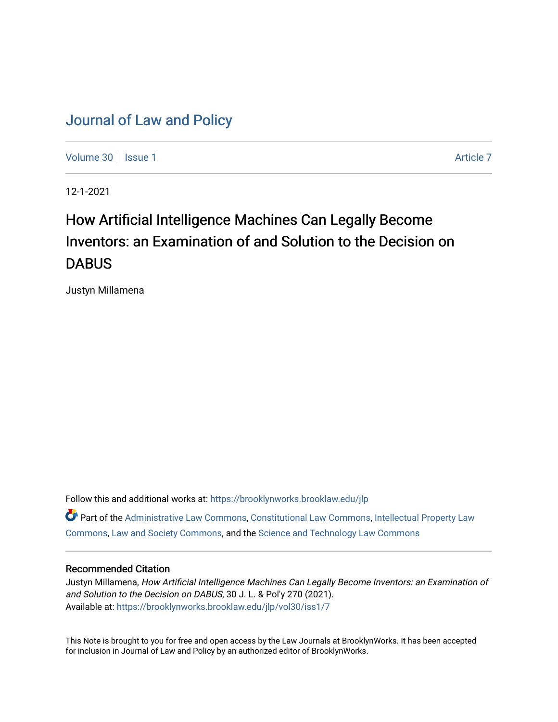## [Journal of Law and Policy](https://brooklynworks.brooklaw.edu/jlp)

[Volume 30](https://brooklynworks.brooklaw.edu/jlp/vol30) | [Issue 1](https://brooklynworks.brooklaw.edu/jlp/vol30/iss1) [Article 7](https://brooklynworks.brooklaw.edu/jlp/vol30/iss1/7) Article 7 Article 7 Article 7 Article 7 Article 7 Article 7

12-1-2021

# How Artificial Intelligence Machines Can Legally Become Inventors: an Examination of and Solution to the Decision on **DABUS**

Justyn Millamena

Follow this and additional works at: [https://brooklynworks.brooklaw.edu/jlp](https://brooklynworks.brooklaw.edu/jlp?utm_source=brooklynworks.brooklaw.edu%2Fjlp%2Fvol30%2Fiss1%2F7&utm_medium=PDF&utm_campaign=PDFCoverPages)  Part of the [Administrative Law Commons,](http://network.bepress.com/hgg/discipline/579?utm_source=brooklynworks.brooklaw.edu%2Fjlp%2Fvol30%2Fiss1%2F7&utm_medium=PDF&utm_campaign=PDFCoverPages) [Constitutional Law Commons,](http://network.bepress.com/hgg/discipline/589?utm_source=brooklynworks.brooklaw.edu%2Fjlp%2Fvol30%2Fiss1%2F7&utm_medium=PDF&utm_campaign=PDFCoverPages) [Intellectual Property Law](http://network.bepress.com/hgg/discipline/896?utm_source=brooklynworks.brooklaw.edu%2Fjlp%2Fvol30%2Fiss1%2F7&utm_medium=PDF&utm_campaign=PDFCoverPages) [Commons](http://network.bepress.com/hgg/discipline/896?utm_source=brooklynworks.brooklaw.edu%2Fjlp%2Fvol30%2Fiss1%2F7&utm_medium=PDF&utm_campaign=PDFCoverPages), [Law and Society Commons,](http://network.bepress.com/hgg/discipline/853?utm_source=brooklynworks.brooklaw.edu%2Fjlp%2Fvol30%2Fiss1%2F7&utm_medium=PDF&utm_campaign=PDFCoverPages) and the [Science and Technology Law Commons](http://network.bepress.com/hgg/discipline/875?utm_source=brooklynworks.brooklaw.edu%2Fjlp%2Fvol30%2Fiss1%2F7&utm_medium=PDF&utm_campaign=PDFCoverPages) 

#### Recommended Citation

Justyn Millamena, How Artificial Intelligence Machines Can Legally Become Inventors: an Examination of and Solution to the Decision on DABUS, 30 J. L. & Pol'y 270 (2021). Available at: [https://brooklynworks.brooklaw.edu/jlp/vol30/iss1/7](https://brooklynworks.brooklaw.edu/jlp/vol30/iss1/7?utm_source=brooklynworks.brooklaw.edu%2Fjlp%2Fvol30%2Fiss1%2F7&utm_medium=PDF&utm_campaign=PDFCoverPages)

This Note is brought to you for free and open access by the Law Journals at BrooklynWorks. It has been accepted for inclusion in Journal of Law and Policy by an authorized editor of BrooklynWorks.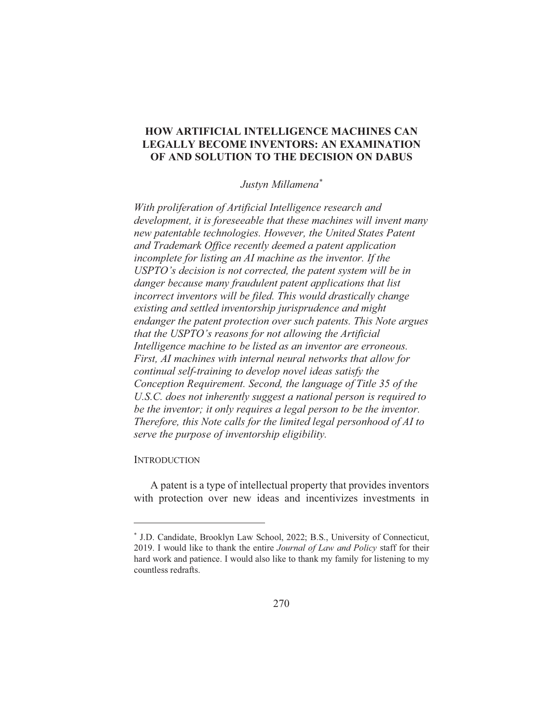### **HOW ARTIFICIAL INTELLIGENCE MACHINES CAN LEGALLY BECOME INVENTORS: AN EXAMINATION** OF AND SOLUTION TO THE DECISION ON DABUS

Justyn Millamena\*

With proliferation of Artificial Intelligence research and development, it is foreseeable that these machines will invent many new patentable technologies. However, the United States Patent and Trademark Office recently deemed a patent application incomplete for listing an AI machine as the inventor. If the USPTO's decision is not corrected, the patent system will be in danger because many fraudulent patent applications that list incorrect inventors will be filed. This would drastically change existing and settled inventorship jurisprudence and might endanger the patent protection over such patents. This Note argues that the USPTO's reasons for not allowing the Artificial Intelligence machine to be listed as an inventor are erroneous. First, AI machines with internal neural networks that allow for continual self-training to develop novel ideas satisfy the Conception Requirement. Second, the language of Title 35 of the U.S.C. does not inherently suggest a national person is required to be the inventor; it only requires a legal person to be the inventor. Therefore, this Note calls for the limited legal personhood of AI to serve the purpose of inventorship eligibility.

#### **INTRODUCTION**

A patent is a type of intellectual property that provides inventors with protection over new ideas and incentivizes investments in

<sup>\*</sup> J.D. Candidate, Brooklyn Law School, 2022; B.S., University of Connecticut, 2019. I would like to thank the entire *Journal of Law and Policy* staff for their hard work and patience. I would also like to thank my family for listening to my countless redrafts.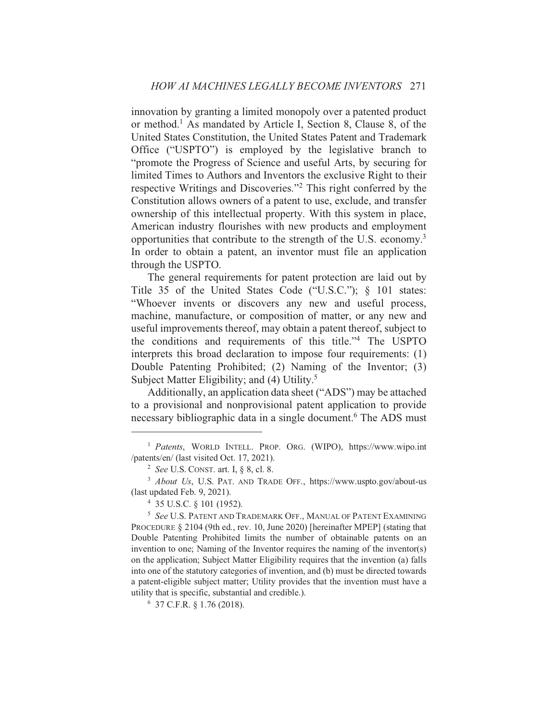innovation by granting a limited monopoly over a patented product or method.<sup>1</sup> As mandated by Article I, Section 8, Clause 8, of the United States Constitution, the United States Patent and Trademark Office ("USPTO") is employed by the legislative branch to "promote the Progress of Science and useful Arts, by securing for limited Times to Authors and Inventors the exclusive Right to their respective Writings and Discoveries."<sup>2</sup> This right conferred by the Constitution allows owners of a patent to use, exclude, and transfer ownership of this intellectual property. With this system in place, American industry flourishes with new products and employment opportunities that contribute to the strength of the U.S. economy.<sup>3</sup> In order to obtain a patent, an inventor must file an application through the USPTO.

The general requirements for patent protection are laid out by Title 35 of the United States Code ("U.S.C."); § 101 states: "Whoever invents or discovers any new and useful process, machine, manufacture, or composition of matter, or any new and useful improvements thereof, may obtain a patent thereof, subject to the conditions and requirements of this title."<sup>4</sup> The USPTO interprets this broad declaration to impose four requirements: (1) Double Patenting Prohibited; (2) Naming of the Inventor; (3) Subject Matter Eligibility; and (4) Utility.<sup>5</sup>

Additionally, an application data sheet ("ADS") may be attached to a provisional and nonprovisional patent application to provide necessary bibliographic data in a single document.<sup>6</sup> The ADS must

<sup>&</sup>lt;sup>1</sup> Patents, WORLD INTELL. PROP. ORG. (WIPO), https://www.wipo.int /patents/en/ (last visited Oct. 17, 2021).

<sup>&</sup>lt;sup>2</sup> See U.S. CONST. art. I,  $§ 8$ , cl. 8.

<sup>&</sup>lt;sup>3</sup> About Us, U.S. PAT. AND TRADE OFF., https://www.uspto.gov/about-us (last updated Feb. 9, 2021).

<sup>&</sup>lt;sup>4</sup> 35 U.S.C. § 101 (1952).

<sup>&</sup>lt;sup>5</sup> See U.S. PATENT AND TRADEMARK OFF., MANUAL OF PATENT EXAMINING PROCEDURE § 2104 (9th ed., rev. 10, June 2020) [hereinafter MPEP] (stating that Double Patenting Prohibited limits the number of obtainable patents on an invention to one; Naming of the Inventor requires the naming of the inventor(s) on the application; Subject Matter Eligibility requires that the invention (a) falls into one of the statutory categories of invention, and (b) must be directed towards a patent-eligible subject matter; Utility provides that the invention must have a utility that is specific, substantial and credible.).

 $6$  37 C.F.R.  $§$  1.76 (2018).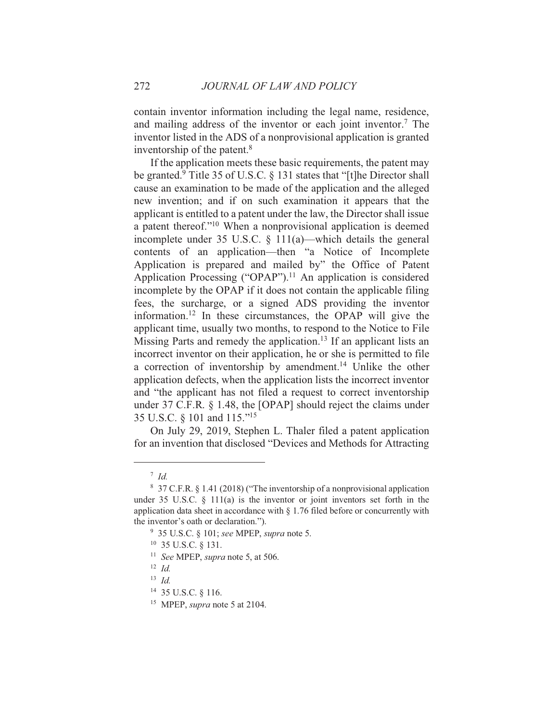contain inventor information including the legal name, residence, and mailing address of the inventor or each joint inventor.<sup>7</sup> The inventor listed in the ADS of a nonprovisional application is granted inventorship of the patent.<sup>8</sup>

If the application meets these basic requirements, the patent may be granted.<sup>9</sup> Title 35 of U.S.C.  $\S$  131 states that "[t] he Director shall cause an examination to be made of the application and the alleged new invention; and if on such examination it appears that the applicant is entitled to a patent under the law, the Director shall issue a patent thereof."<sup>10</sup> When a nonprovisional application is deemed incomplete under 35 U.S.C.  $\S$  111(a)—which details the general contents of an application—then "a Notice of Incomplete Application is prepared and mailed by" the Office of Patent Application Processing ("OPAP").<sup>11</sup> An application is considered incomplete by the OPAP if it does not contain the applicable filing fees, the surcharge, or a signed ADS providing the inventor information.<sup>12</sup> In these circumstances, the OPAP will give the applicant time, usually two months, to respond to the Notice to File Missing Parts and remedy the application.<sup>13</sup> If an applicant lists an incorrect inventor on their application, he or she is permitted to file a correction of inventorship by amendment.<sup>14</sup> Unlike the other application defects, when the application lists the incorrect inventor and "the applicant has not filed a request to correct inventorship under  $37$  C.F.R.  $\S$  1.48, the [OPAP] should reject the claims under 35 U.S.C. § 101 and 115."<sup>15</sup>

On July 29, 2019, Stephen L. Thaler filed a patent application for an invention that disclosed "Devices and Methods for Attracting

- <sup>11</sup> See MPEP, supra note 5, at 506.
- $12$  *Id.*

 $^7$  Id.

<sup>&</sup>lt;sup>8</sup> 37 C.F.R. § 1.41 (2018) ("The inventorship of a nonprovisional application under 35 U.S.C.  $\S$  111(a) is the inventor or joint inventors set forth in the application data sheet in accordance with  $\S 1.76$  filed before or concurrently with the inventor's oath or declaration.").

 $9\,$  35 U.S.C.  $\frac{101}{1}$ ; see MPEP, supra note 5.

<sup>&</sup>lt;sup>10</sup> 35 U.S.C. § 131.

 $13$  *Id.* 

<sup>&</sup>lt;sup>14</sup> 35 U.S.C. § 116.

<sup>&</sup>lt;sup>15</sup> MPEP, *supra* note 5 at 2104.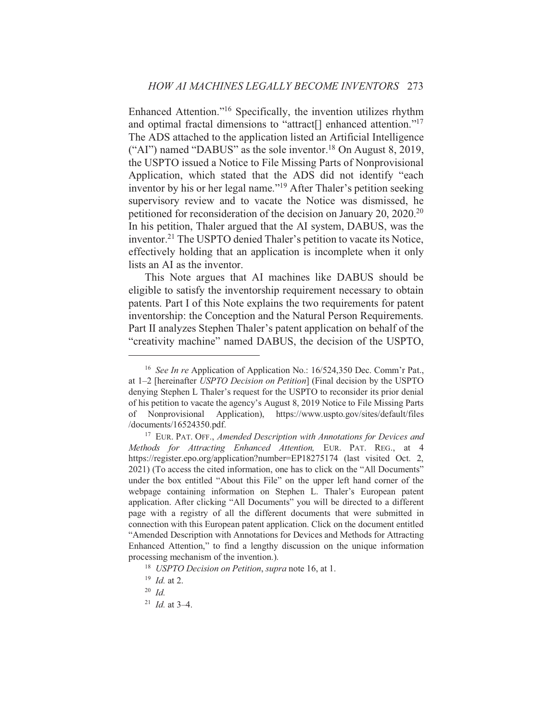Enhanced Attention."<sup>16</sup> Specifically, the invention utilizes rhythm and optimal fractal dimensions to "attract[] enhanced attention."<sup>17</sup> The ADS attached to the application listed an Artificial Intelligence ("AI") named "DABUS" as the sole inventor.<sup>18</sup> On August 8, 2019, the USPTO issued a Notice to File Missing Parts of Nonprovisional Application, which stated that the ADS did not identify "each inventor by his or her legal name."<sup>19</sup> After Thaler's petition seeking supervisory review and to vacate the Notice was dismissed, he petitioned for reconsideration of the decision on January 20, 2020.<sup>20</sup> In his petition, Thaler argued that the AI system, DABUS, was the inventor.<sup>21</sup> The USPTO denied Thaler's petition to vacate its Notice, effectively holding that an application is incomplete when it only lists an AI as the inventor.

This Note argues that AI machines like DABUS should be eligible to satisfy the inventorship requirement necessary to obtain patents. Part I of this Note explains the two requirements for patent inventorship: the Conception and the Natural Person Requirements. Part II analyzes Stephen Thaler's patent application on behalf of the "creativity machine" named DABUS, the decision of the USPTO,

<sup>&</sup>lt;sup>16</sup> See In re Application of Application No.: 16/524,350 Dec. Comm'r Pat., at 1-2 [hereinafter USPTO Decision on Petition] (Final decision by the USPTO denying Stephen L Thaler's request for the USPTO to reconsider its prior denial of his petition to vacate the agency's August 8, 2019 Notice to File Missing Parts of Nonprovisional Application), https://www.uspto.gov/sites/default/files /documents/16524350.pdf.

<sup>&</sup>lt;sup>17</sup> EUR. PAT. OFF., Amended Description with Annotations for Devices and Methods for Attracting Enhanced Attention, EUR. PAT. REG., at 4 https://register.epo.org/application?number=EP18275174 (last visited Oct. 2, 2021) (To access the cited information, one has to click on the "All Documents" under the box entitled "About this File" on the upper left hand corner of the webpage containing information on Stephen L. Thaler's European patent application. After clicking "All Documents" you will be directed to a different page with a registry of all the different documents that were submitted in connection with this European patent application. Click on the document entitled "Amended Description with Annotations for Devices and Methods for Attracting Enhanced Attention," to find a lengthy discussion on the unique information processing mechanism of the invention.).

<sup>&</sup>lt;sup>18</sup> *USPTO Decision on Petition, supra* note 16, at 1.

 $19$  *Id.* at 2.

 $20$  *Id.* 

 $^{21}$  *Id.* at 3-4.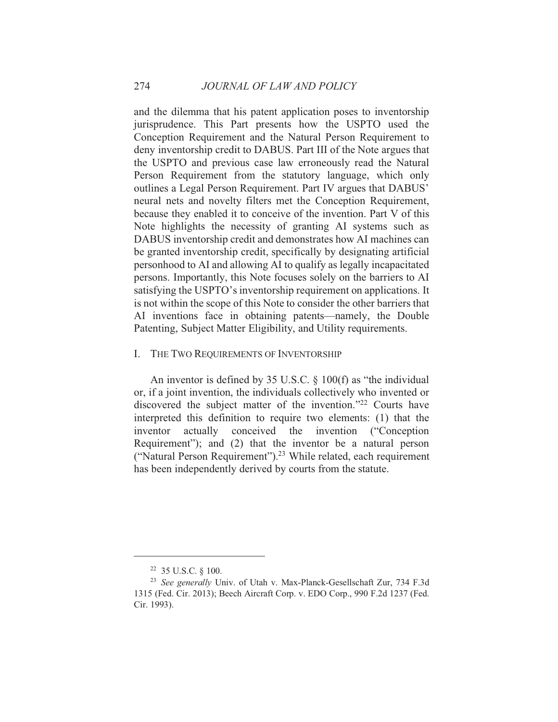and the dilemma that his patent application poses to inventorship jurisprudence. This Part presents how the USPTO used the Conception Requirement and the Natural Person Requirement to deny inventorship credit to DABUS. Part III of the Note argues that the USPTO and previous case law erroneously read the Natural Person Requirement from the statutory language, which only outlines a Legal Person Requirement. Part IV argues that DABUS' neural nets and novelty filters met the Conception Requirement, because they enabled it to conceive of the invention. Part V of this Note highlights the necessity of granting AI systems such as DABUS inventorship credit and demonstrates how AI machines can be granted inventorship credit, specifically by designating artificial personhood to AI and allowing AI to qualify as legally incapacitated persons. Importantly, this Note focuses solely on the barriers to AI satisfying the USPTO's inventorship requirement on applications. It is not within the scope of this Note to consider the other barriers that AI inventions face in obtaining patents—namely, the Double Patenting, Subject Matter Eligibility, and Utility requirements.

#### I. THE TWO REQUIREMENTS OF INVENTORSHIP

An inventor is defined by 35 U.S.C.  $\S$  100(f) as "the individual or, if a joint invention, the individuals collectively who invented or discovered the subject matter of the invention."<sup>22</sup> Courts have interpreted this definition to require two elements: (1) that the inventor actually conceived the invention ("Conception" Requirement"); and (2) that the inventor be a natural person ("Natural Person Requirement").<sup>23</sup> While related, each requirement has been independently derived by courts from the statute.

<sup>&</sup>lt;sup>22</sup> 35 U.S.C. § 100.

<sup>&</sup>lt;sup>23</sup> See generally Univ. of Utah v. Max-Planck-Gesellschaft Zur, 734 F.3d 1315 (Fed. Cir. 2013); Beech Aircraft Corp. v. EDO Corp., 990 F.2d 1237 (Fed. Cir. 1993).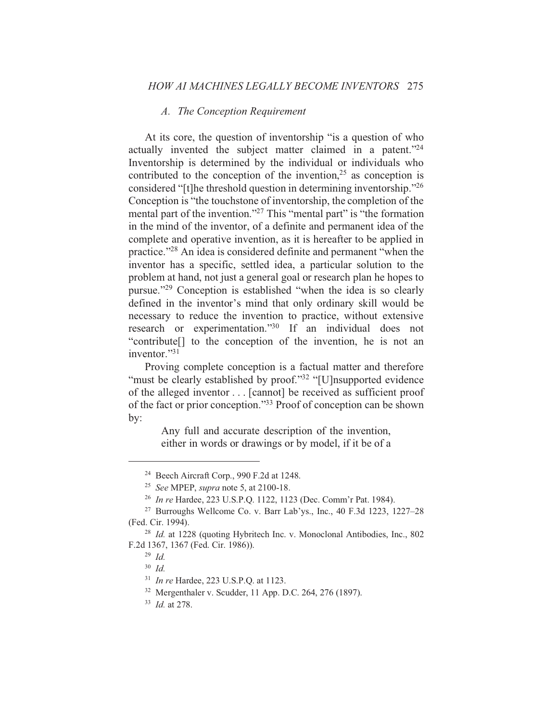#### A. The Conception Requirement

At its core, the question of inventorship "is a question of who actually invented the subject matter claimed in a patent."24 Inventorship is determined by the individual or individuals who contributed to the conception of the invention,  $25$  as conception is considered "[t] he threshold question in determining inventorship."26 Conception is "the touchstone of inventorship, the completion of the mental part of the invention."<sup>27</sup> This "mental part" is "the formation in the mind of the inventor, of a definite and permanent idea of the complete and operative invention, as it is hereafter to be applied in practice."<sup>28</sup> An idea is considered definite and permanent "when the inventor has a specific, settled idea, a particular solution to the problem at hand, not just a general goal or research plan he hopes to pursue."<sup>29</sup> Conception is established "when the idea is so clearly defined in the inventor's mind that only ordinary skill would be necessary to reduce the invention to practice, without extensive research or experimentation."<sup>30</sup> If an individual does not "contribute<sup>[]</sup> to the conception of the invention, he is not an inventor. $\frac{1}{31}$ 

Proving complete conception is a factual matter and therefore "must be clearly established by proof."<sup>32</sup> "[U]nsupported evidence of the alleged inventor . . . [cannot] be received as sufficient proof of the fact or prior conception."33 Proof of conception can be shown by:

> Any full and accurate description of the invention, either in words or drawings or by model, if it be of a

<sup>&</sup>lt;sup>24</sup> Beech Aircraft Corp., 990 F.2d at 1248.

<sup>&</sup>lt;sup>25</sup> See MPEP, supra note 5, at 2100-18.

<sup>&</sup>lt;sup>26</sup> In re Hardee, 223 U.S.P.Q. 1122, 1123 (Dec. Comm'r Pat. 1984).

<sup>&</sup>lt;sup>27</sup> Burroughs Wellcome Co. v. Barr Lab'ys., Inc., 40 F.3d 1223, 1227-28 (Fed. Cir. 1994).

<sup>&</sup>lt;sup>28</sup> Id. at 1228 (quoting Hybritech Inc. v. Monoclonal Antibodies, Inc., 802 F.2d 1367, 1367 (Fed. Cir. 1986)).

 $^{29}$  *Id.* 

 $30$  *Id.* 

<sup>&</sup>lt;sup>31</sup> In re Hardee, 223 U.S.P.Q. at 1123.

<sup>&</sup>lt;sup>32</sup> Mergenthaler v. Scudder, 11 App. D.C. 264, 276 (1897).

 $33$  *Id.* at 278.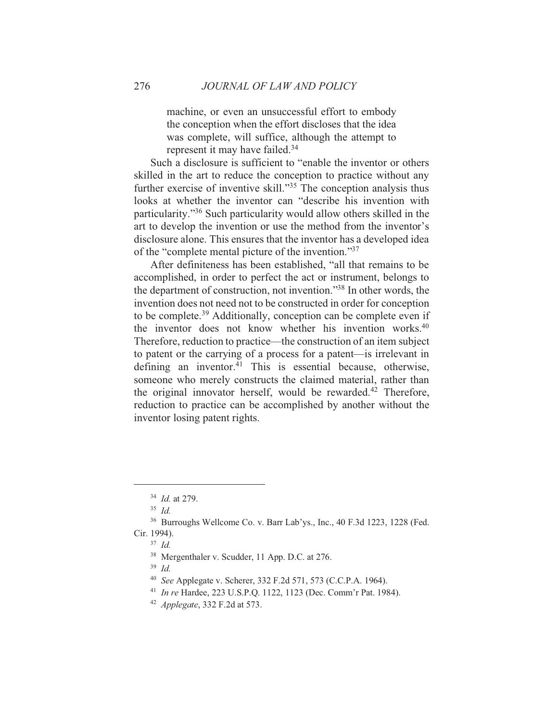machine, or even an unsuccessful effort to embody the conception when the effort discloses that the idea was complete, will suffice, although the attempt to represent it may have failed.<sup>34</sup>

Such a disclosure is sufficient to "enable the inventor or others skilled in the art to reduce the conception to practice without any further exercise of inventive skill."35 The conception analysis thus looks at whether the inventor can "describe his invention with particularity."<sup>36</sup> Such particularity would allow others skilled in the art to develop the invention or use the method from the inventor's disclosure alone. This ensures that the inventor has a developed idea of the "complete mental picture of the invention."37

After definiteness has been established, "all that remains to be accomplished, in order to perfect the act or instrument, belongs to the department of construction, not invention."<sup>38</sup> In other words, the invention does not need not to be constructed in order for conception to be complete.<sup>39</sup> Additionally, conception can be complete even if the inventor does not know whether his invention works.<sup>40</sup> Therefore, reduction to practice—the construction of an item subject to patent or the carrying of a process for a patent-is irrelevant in defining an inventor. $41$  This is essential because, otherwise, someone who merely constructs the claimed material, rather than the original innovator herself, would be rewarded.<sup>42</sup> Therefore, reduction to practice can be accomplished by another without the inventor losing patent rights.

<sup>38</sup> Mergenthaler v. Scudder, 11 App. D.C. at 276.

 $39$  *Id.* 

 $34$  *Id.* at 279.

 $35$  *Id.* 

<sup>&</sup>lt;sup>36</sup> Burroughs Wellcome Co. v. Barr Lab'ys., Inc., 40 F.3d 1223, 1228 (Fed. Cir. 1994).

 $37$  *Id.* 

<sup>&</sup>lt;sup>40</sup> See Applegate v. Scherer, 332 F.2d 571, 573 (C.C.P.A. 1964).

<sup>&</sup>lt;sup>41</sup> In re Hardee, 223 U.S.P.Q. 1122, 1123 (Dec. Comm'r Pat. 1984).

 $42$  *Applegate*, 332 F.2d at 573.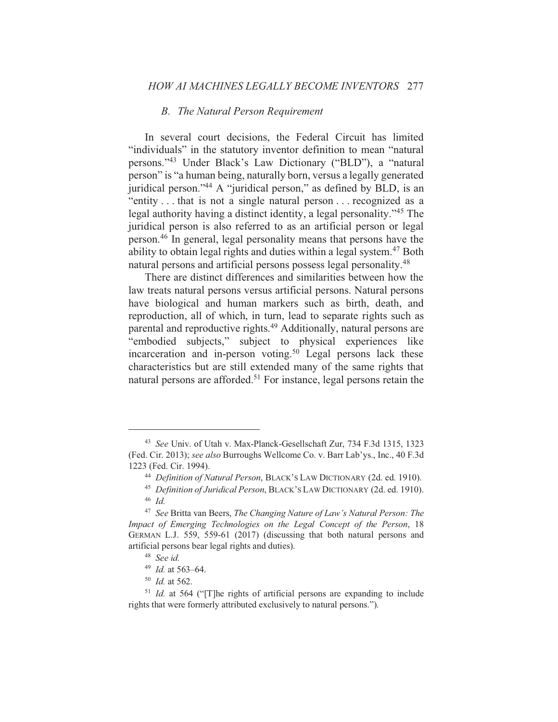#### **B.** The Natural Person Requirement

In several court decisions, the Federal Circuit has limited "individuals" in the statutory inventor definition to mean "natural persons."<sup>43</sup> Under Black's Law Dictionary ("BLD"), a "natural person" is "a human being, naturally born, versus a legally generated juridical person."<sup>44</sup> A "juridical person," as defined by BLD, is an "entity... that is not a single natural person... recognized as a legal authority having a distinct identity, a legal personality."<sup>45</sup> The juridical person is also referred to as an artificial person or legal person.<sup>46</sup> In general, legal personality means that persons have the ability to obtain legal rights and duties within a legal system.<sup>47</sup> Both natural persons and artificial persons possess legal personality.<sup>48</sup>

There are distinct differences and similarities between how the law treats natural persons versus artificial persons. Natural persons have biological and human markers such as birth, death, and reproduction, all of which, in turn, lead to separate rights such as parental and reproductive rights.<sup>49</sup> Additionally, natural persons are "embodied subjects," subject to physical experiences like incarceration and in-person voting.<sup>50</sup> Legal persons lack these characteristics but are still extended many of the same rights that natural persons are afforded.<sup>51</sup> For instance, legal persons retain the

<sup>&</sup>lt;sup>43</sup> See Univ. of Utah v. Max-Planck-Gesellschaft Zur, 734 F.3d 1315, 1323 (Fed. Cir. 2013); see also Burroughs Wellcome Co. v. Barr Lab'ys., Inc., 40 F.3d 1223 (Fed. Cir. 1994).

<sup>&</sup>lt;sup>44</sup> Definition of Natural Person, BLACK'S LAW DICTIONARY (2d. ed. 1910).

<sup>&</sup>lt;sup>45</sup> Definition of Juridical Person, BLACK'S LAW DICTIONARY (2d. ed. 1910).  $46$  *Id.* 

<sup>&</sup>lt;sup>47</sup> See Britta van Beers, The Changing Nature of Law's Natural Person: The Impact of Emerging Technologies on the Legal Concept of the Person, 18 GERMAN L.J. 559, 559-61 (2017) (discussing that both natural persons and artificial persons bear legal rights and duties).

 $48$  See id.

 $49$  *Id.* at 563-64.

 $50$  *Id.* at 562.

 $^{51}$  *Id.* at 564 ("T] he rights of artificial persons are expanding to include rights that were formerly attributed exclusively to natural persons.").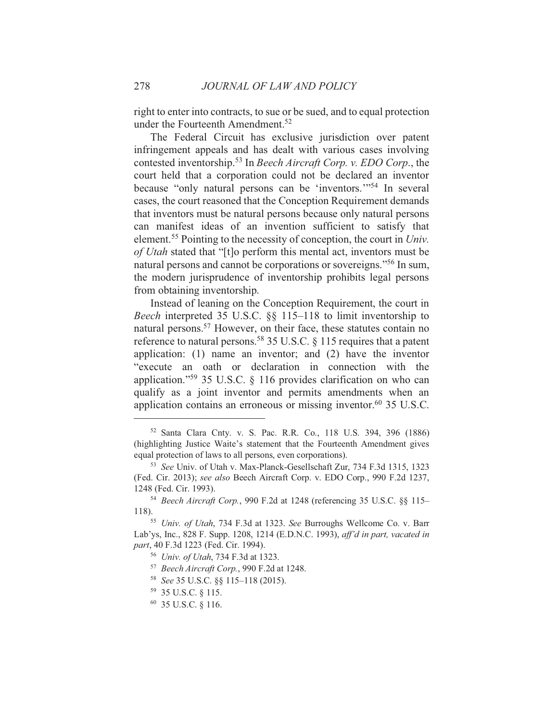right to enter into contracts, to sue or be sued, and to equal protection under the Fourteenth Amendment.<sup>52</sup>

The Federal Circuit has exclusive jurisdiction over patent infringement appeals and has dealt with various cases involving contested inventorship.<sup>53</sup> In Beech Aircraft Corp. v. EDO Corp., the court held that a corporation could not be declared an inventor because "only natural persons can be 'inventors."<sup>54</sup> In several cases, the court reasoned that the Conception Requirement demands that inventors must be natural persons because only natural persons can manifest ideas of an invention sufficient to satisfy that element.<sup>55</sup> Pointing to the necessity of conception, the court in Univ. of Utah stated that "[t]o perform this mental act, inventors must be natural persons and cannot be corporations or sovereigns."<sup>56</sup> In sum, the modern jurisprudence of inventorship prohibits legal persons from obtaining inventorship.

Instead of leaning on the Conception Requirement, the court in Beech interpreted 35 U.S.C. §§ 115-118 to limit inventorship to natural persons.<sup>57</sup> However, on their face, these statutes contain no reference to natural persons.<sup>58</sup> 35 U.S.C.  $\&$  115 requires that a patent application:  $(1)$  name an inventor; and  $(2)$  have the inventor "execute an oath or declaration in connection with the application."<sup>59</sup> 35 U.S.C.  $\frac{1}{9}$  116 provides clarification on who can qualify as a joint inventor and permits amendments when an application contains an erroneous or missing inventor.<sup>60</sup> 35 U.S.C.

<sup>&</sup>lt;sup>52</sup> Santa Clara Cnty. v. S. Pac. R.R. Co., 118 U.S. 394, 396 (1886) (highlighting Justice Waite's statement that the Fourteenth Amendment gives equal protection of laws to all persons, even corporations).

<sup>&</sup>lt;sup>53</sup> See Univ. of Utah v. Max-Planck-Gesellschaft Zur, 734 F.3d 1315, 1323 (Fed. Cir. 2013); see also Beech Aircraft Corp. v. EDO Corp., 990 F.2d 1237, 1248 (Fed. Cir. 1993).

<sup>&</sup>lt;sup>54</sup> Beech Aircraft Corp., 990 F.2d at 1248 (referencing 35 U.S.C. §§ 115–  $118$ ).

<sup>&</sup>lt;sup>55</sup> Univ. of Utah, 734 F.3d at 1323. See Burroughs Wellcome Co. v. Barr Lab'ys, Inc., 828 F. Supp. 1208, 1214 (E.D.N.C. 1993), aff'd in part, vacated in part, 40 F.3d 1223 (Fed. Cir. 1994).

<sup>&</sup>lt;sup>56</sup> Univ. of Utah, 734 F.3d at 1323.

<sup>&</sup>lt;sup>57</sup> Beech Aircraft Corp., 990 F.2d at 1248.

<sup>&</sup>lt;sup>58</sup> See 35 U.S.C. §§ 115-118 (2015).

<sup>&</sup>lt;sup>59</sup> 35 U.S.C. § 115.

<sup>&</sup>lt;sup>60</sup> 35 U.S.C. § 116.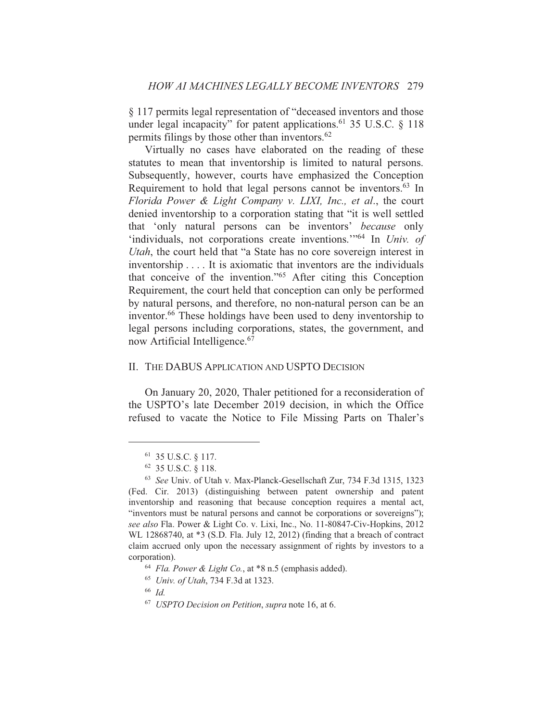§ 117 permits legal representation of "deceased inventors and those under legal incapacity" for patent applications.<sup>61</sup> 35 U.S.C. § 118 permits filings by those other than inventors.<sup>62</sup>

Virtually no cases have elaborated on the reading of these statutes to mean that inventorship is limited to natural persons. Subsequently, however, courts have emphasized the Conception Requirement to hold that legal persons cannot be inventors.<sup>63</sup> In Florida Power & Light Company v. LIXI, Inc., et al., the court denied inventorship to a corporation stating that "it is well settled that 'only natural persons can be inventors' because only 'individuals, not corporations create inventions."<sup>64</sup> In *Univ. of* Utah, the court held that "a State has no core sovereign interest in inventorship . . . . It is axiomatic that inventors are the individuals that conceive of the invention."<sup>65</sup> After citing this Conception Requirement, the court held that conception can only be performed by natural persons, and therefore, no non-natural person can be an inventor.<sup>66</sup> These holdings have been used to deny inventorship to legal persons including corporations, states, the government, and now Artificial Intelligence.<sup>67</sup>

#### II. THE DABUS APPLICATION AND USPTO DECISION

On January 20, 2020, Thaler petitioned for a reconsideration of the USPTO's late December 2019 decision, in which the Office refused to vacate the Notice to File Missing Parts on Thaler's

<sup>&</sup>lt;sup>61</sup> 35 U.S.C. § 117.

<sup>&</sup>lt;sup>62</sup> 35 U.S.C. § 118.

<sup>&</sup>lt;sup>63</sup> See Univ. of Utah v. Max-Planck-Gesellschaft Zur, 734 F.3d 1315, 1323 (Fed. Cir. 2013) (distinguishing between patent ownership and patent inventorship and reasoning that because conception requires a mental act, "inventors must be natural persons and cannot be corporations or sovereigns"); see also Fla. Power & Light Co. v. Lixi, Inc., No. 11-80847-Civ-Hopkins, 2012 WL 12868740, at \*3 (S.D. Fla. July 12, 2012) (finding that a breach of contract claim accrued only upon the necessary assignment of rights by investors to a corporation).

<sup>&</sup>lt;sup>64</sup> Fla. Power & Light Co., at \*8 n.5 (emphasis added).

<sup>&</sup>lt;sup>65</sup> Univ. of Utah, 734 F.3d at 1323.

 $^{66}$  Id.

<sup>&</sup>lt;sup>67</sup> USPTO Decision on Petition, supra note 16, at 6.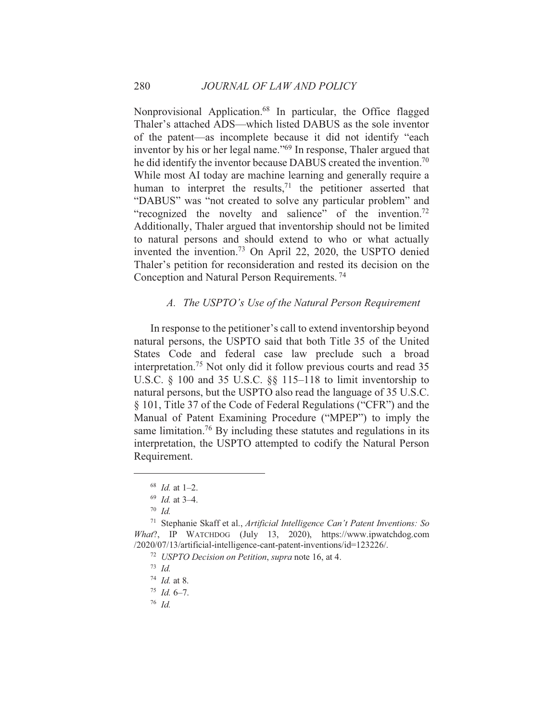Nonprovisional Application.<sup>68</sup> In particular, the Office flagged Thaler's attached ADS—which listed DABUS as the sole inventor of the patent-as incomplete because it did not identify "each inventor by his or her legal name."<sup>69</sup> In response, Thaler argued that he did identify the inventor because DABUS created the invention.<sup>70</sup> While most AI today are machine learning and generally require a human to interpret the results,<sup>71</sup> the petitioner asserted that "DABUS" was "not created to solve any particular problem" and "recognized the novelty and salience" of the invention.<sup>72</sup> Additionally, Thaler argued that inventorship should not be limited to natural persons and should extend to who or what actually invented the invention.<sup>73</sup> On April 22, 2020, the USPTO denied Thaler's petition for reconsideration and rested its decision on the Conception and Natural Person Requirements.<sup>74</sup>

#### A. The USPTO's Use of the Natural Person Requirement

In response to the petitioner's call to extend inventorship beyond natural persons, the USPTO said that both Title 35 of the United States Code and federal case law preclude such a broad interpretation.<sup>75</sup> Not only did it follow previous courts and read 35 U.S.C.  $\S$  100 and 35 U.S.C.  $\S$  115–118 to limit inventorship to natural persons, but the USPTO also read the language of 35 U.S.C. § 101, Title 37 of the Code of Federal Regulations ("CFR") and the Manual of Patent Examining Procedure ("MPEP") to imply the same limitation.<sup>76</sup> By including these statutes and regulations in its interpretation, the USPTO attempted to codify the Natural Person Requirement.

 $68$  *Id.* at 1-2.

 $^{69}$  *Id.* at 3-4.

 $70$  Id

<sup>&</sup>lt;sup>71</sup> Stephanie Skaff et al., Artificial Intelligence Can't Patent Inventions: So What?, IP WATCHDOG (July 13, 2020), https://www.ipwatchdog.com /2020/07/13/artificial-intelligence-cant-patent-inventions/id=123226/.

<sup>&</sup>lt;sup>72</sup> USPTO Decision on Petition, supra note 16, at 4.

 $73$  Id.

 $74$  *Id.* at 8.

 $^{75}$  *Id.* 6-7.

 $76$  *Id.*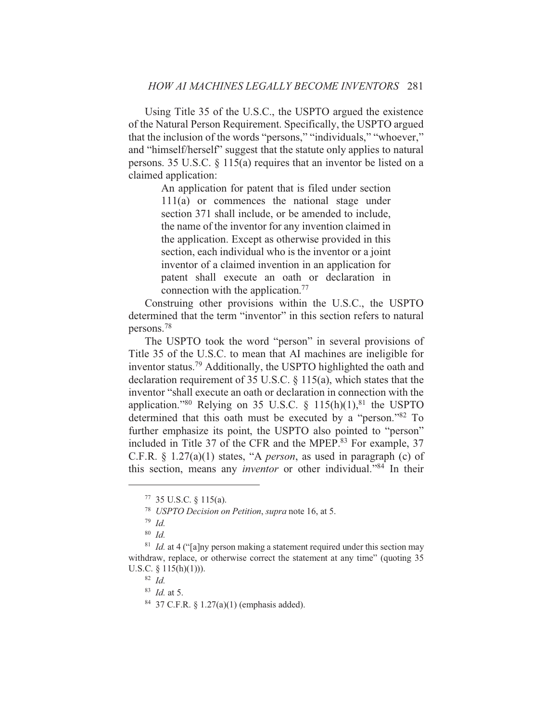Using Title 35 of the U.S.C., the USPTO argued the existence of the Natural Person Requirement. Specifically, the USPTO argued that the inclusion of the words "persons," "individuals," "whoever," and "himself/herself" suggest that the statute only applies to natural persons. 35 U.S.C.  $\S$  115(a) requires that an inventor be listed on a claimed application:

> An application for patent that is filed under section  $111(a)$  or commences the national stage under section 371 shall include, or be amended to include, the name of the inventor for any invention claimed in the application. Except as otherwise provided in this section, each individual who is the inventor or a joint inventor of a claimed invention in an application for patent shall execute an oath or declaration in connection with the application.<sup>77</sup>

Construing other provisions within the U.S.C., the USPTO determined that the term "inventor" in this section refers to natural persons.<sup>78</sup>

The USPTO took the word "person" in several provisions of Title 35 of the U.S.C. to mean that AI machines are ineligible for inventor status.<sup>79</sup> Additionally, the USPTO highlighted the oath and declaration requirement of 35 U.S.C.  $\S$  115(a), which states that the inventor "shall execute an oath or declaration in connection with the application."<sup>80</sup> Relying on 35 U.S.C. §  $115(h)(1)$ , <sup>81</sup> the USPTO determined that this oath must be executed by a "person."<sup>82</sup> To further emphasize its point, the USPTO also pointed to "person" included in Title 37 of the CFR and the MPEP.<sup>83</sup> For example, 37 C.F.R.  $\S$  1.27(a)(1) states, "A *person*, as used in paragraph (c) of this section, means any *inventor* or other individual."<sup>84</sup> In their

<sup>77 35</sup> U.S.C. § 115(a).

<sup>&</sup>lt;sup>78</sup> USPTO Decision on Petition, supra note 16, at 5.

 $79$  Id.

 $80$  Id.

<sup>&</sup>lt;sup>81</sup> *Id.* at 4 ("[a]ny person making a statement required under this section may withdraw, replace, or otherwise correct the statement at any time" (quoting 35 U.S.C. §  $115(h)(1))$ ).

 $82$  *Id.* 

 $83$  *Id.* at 5.

 $84$  37 C.F.R.  $\S 1.27(a)(1)$  (emphasis added).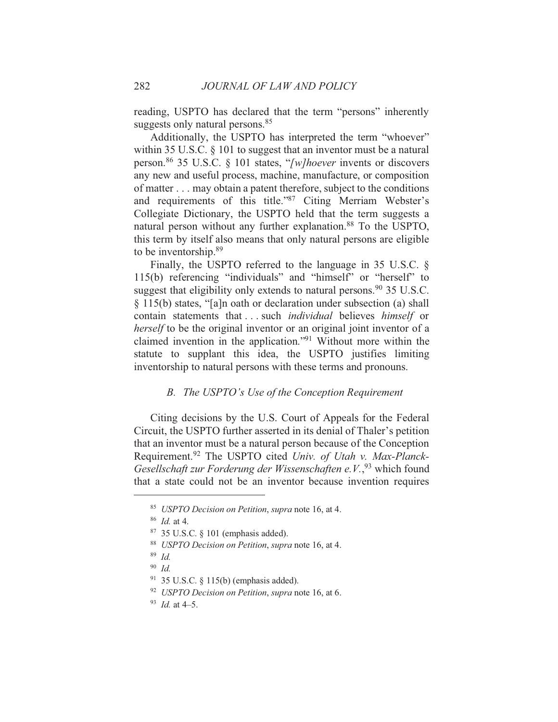reading, USPTO has declared that the term "persons" inherently suggests only natural persons.<sup>85</sup>

Additionally, the USPTO has interpreted the term "whoever" within 35 U.S.C.  $\S$  101 to suggest that an inventor must be a natural person.<sup>86</sup> 35 U.S.C. § 101 states, "[w]hoever invents or discovers any new and useful process, machine, manufacture, or composition of matter . . . may obtain a patent therefore, subject to the conditions and requirements of this title."87 Citing Merriam Webster's Collegiate Dictionary, the USPTO held that the term suggests a natural person without any further explanation.<sup>88</sup> To the USPTO, this term by itself also means that only natural persons are eligible to be inventorship.<sup>89</sup>

Finally, the USPTO referred to the language in 35 U.S.C.  $\S$ 115(b) referencing "individuals" and "himself" or "herself" to suggest that eligibility only extends to natural persons.<sup>90</sup> 35 U.S.C. § 115(b) states, "[a]n oath or declaration under subsection (a) shall contain statements that ... such individual believes himself or *herself* to be the original inventor or an original joint inventor of a claimed invention in the application."<sup>91</sup> Without more within the statute to supplant this idea, the USPTO justifies limiting inventorship to natural persons with these terms and pronouns.

#### B. The USPTO's Use of the Conception Requirement

Citing decisions by the U.S. Court of Appeals for the Federal Circuit, the USPTO further asserted in its denial of Thaler's petition that an inventor must be a natural person because of the Conception Requirement.<sup>92</sup> The USPTO cited Univ. of Utah v. Max-Planck-Gesellschaft zur Forderung der Wissenschaften e.V.,<sup>93</sup> which found that a state could not be an inventor because invention requires

<sup>&</sup>lt;sup>85</sup> USPTO Decision on Petition, supra note 16, at 4.

 $86$  *Id.* at 4.

 $87$  35 U.S.C.  $\S$  101 (emphasis added).

<sup>&</sup>lt;sup>88</sup> USPTO Decision on Petition, supra note 16, at 4.

 $89$  Id.

 $90$  *Id.* 

 $91$  35 U.S.C. § 115(b) (emphasis added).

<sup>&</sup>lt;sup>92</sup> USPTO Decision on Petition, supra note 16, at 6.

 $93$  *Id.* at 4-5.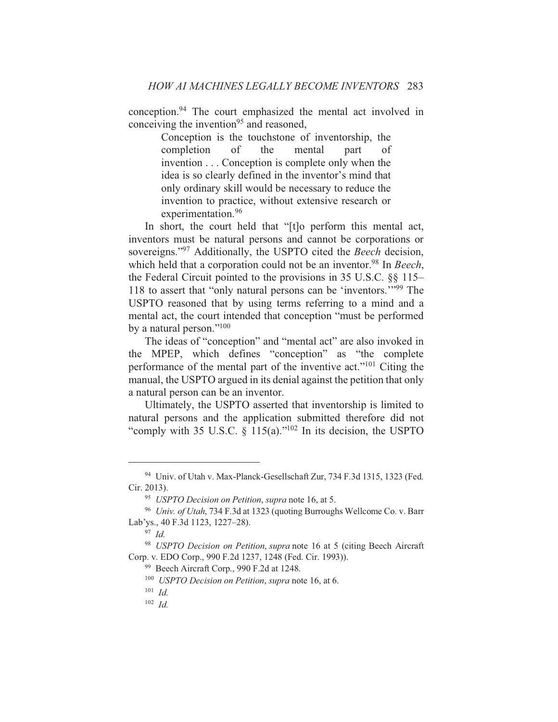conception.<sup>94</sup> The court emphasized the mental act involved in conceiving the invention<sup>95</sup> and reasoned,

> Conception is the touchstone of inventorship, the completion  $\sigma$ f the mental part  $\alpha$ f invention . . . Conception is complete only when the idea is so clearly defined in the inventor's mind that only ordinary skill would be necessary to reduce the invention to practice, without extensive research or experimentation.<sup>96</sup>

In short, the court held that "[t]o perform this mental act, inventors must be natural persons and cannot be corporations or sovereigns."<sup>97</sup> Additionally, the USPTO cited the *Beech* decision, which held that a corporation could not be an inventor.<sup>98</sup> In *Beech*, the Federal Circuit pointed to the provisions in 35 U.S.C. §§ 115– 118 to assert that "only natural persons can be 'inventors."<sup>99</sup> The USPTO reasoned that by using terms referring to a mind and a mental act, the court intended that conception "must be performed by a natural person."<sup>100</sup>

The ideas of "conception" and "mental act" are also invoked in the MPEP, which defines "conception" as "the complete performance of the mental part of the inventive act."<sup>101</sup> Citing the manual, the USPTO argued in its denial against the petition that only a natural person can be an inventor.

Ultimately, the USPTO asserted that inventorship is limited to natural persons and the application submitted therefore did not "comply with 35 U.S.C.  $\S$  115(a)."<sup>102</sup> In its decision, the USPTO

<sup>&</sup>lt;sup>94</sup> Univ. of Utah v. Max-Planck-Gesellschaft Zur, 734 F.3d 1315, 1323 (Fed. Cir. 2013).

<sup>&</sup>lt;sup>95</sup> USPTO Decision on Petition, supra note 16, at 5.

<sup>&</sup>lt;sup>96</sup> Univ. of Utah, 734 F.3d at 1323 (quoting Burroughs Wellcome Co. v. Barr Lab'ys., 40 F.3d 1123, 1227-28).

 $97$  Id.

<sup>&</sup>lt;sup>98</sup> USPTO Decision on Petition, supra note 16 at 5 (citing Beech Aircraft Corp. v. EDO Corp., 990 F.2d 1237, 1248 (Fed. Cir. 1993)).

<sup>&</sup>lt;sup>99</sup> Beech Aircraft Corp., 990 F.2d at 1248.

<sup>&</sup>lt;sup>100</sup> USPTO Decision on Petition, supra note 16, at 6.

 $101$  *Id.* 

 $102$  *Id.*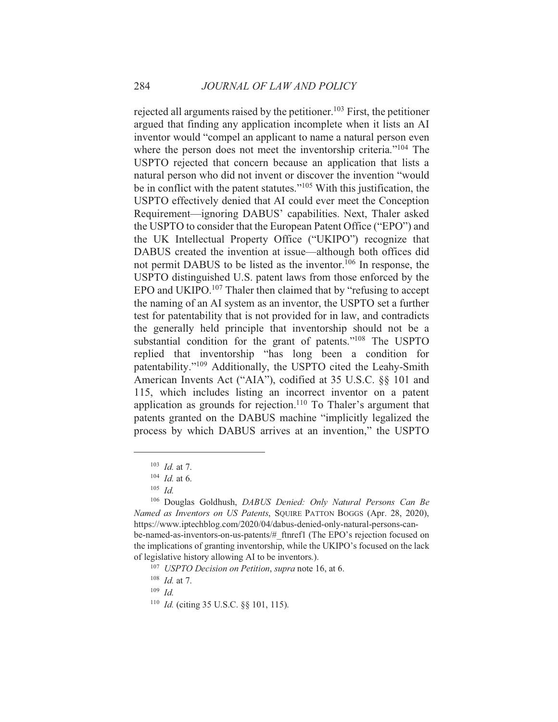rejected all arguments raised by the petitioner.<sup>103</sup> First, the petitioner argued that finding any application incomplete when it lists an AI inventor would "compel an applicant to name a natural person even where the person does not meet the inventorship criteria."<sup>104</sup> The USPTO rejected that concern because an application that lists a natural person who did not invent or discover the invention "would be in conflict with the patent statutes." $105$  With this justification, the USPTO effectively denied that AI could ever meet the Conception Requirement—ignoring DABUS' capabilities. Next, Thaler asked the USPTO to consider that the European Patent Office ("EPO") and the UK Intellectual Property Office ("UKIPO") recognize that DABUS created the invention at issue—although both offices did not permit DABUS to be listed as the inventor.<sup>106</sup> In response, the USPTO distinguished U.S. patent laws from those enforced by the EPO and UKIPO.<sup>107</sup> Thaler then claimed that by "refusing to accept" the naming of an AI system as an inventor, the USPTO set a further test for patentability that is not provided for in law, and contradicts the generally held principle that inventorship should not be a substantial condition for the grant of patents."<sup>108</sup> The USPTO replied that inventorship "has long been a condition for patentability."<sup>109</sup> Additionally, the USPTO cited the Leahy-Smith American Invents Act ("AIA"), codified at 35 U.S.C. §§ 101 and 115, which includes listing an incorrect inventor on a patent application as grounds for rejection.<sup>110</sup> To Thaler's argument that patents granted on the DABUS machine "implicitly legalized the process by which DABUS arrives at an invention," the USPTO

 $103$  *Id.* at 7.

 $104$  *Id.* at 6.

 $105$  *Id.* 

<sup>&</sup>lt;sup>106</sup> Douglas Goldhush, *DABUS Denied: Only Natural Persons Can Be* Named as Inventors on US Patents, SQUIRE PATTON BOGGS (Apr. 28, 2020), https://www.iptechblog.com/2020/04/dabus-denied-only-natural-persons-canbe-named-as-inventors-on-us-patents/# ftmef1 (The EPO's rejection focused on the implications of granting inventorship, while the UKIPO's focused on the lack of legislative history allowing AI to be inventors.).

<sup>&</sup>lt;sup>107</sup> USPTO Decision on Petition, supra note 16, at 6.

 $108$  *Id.* at 7.

 $109$  *Id.* 

<sup>&</sup>lt;sup>110</sup> *Id.* (citing 35 U.S.C.  $\S$  101, 115).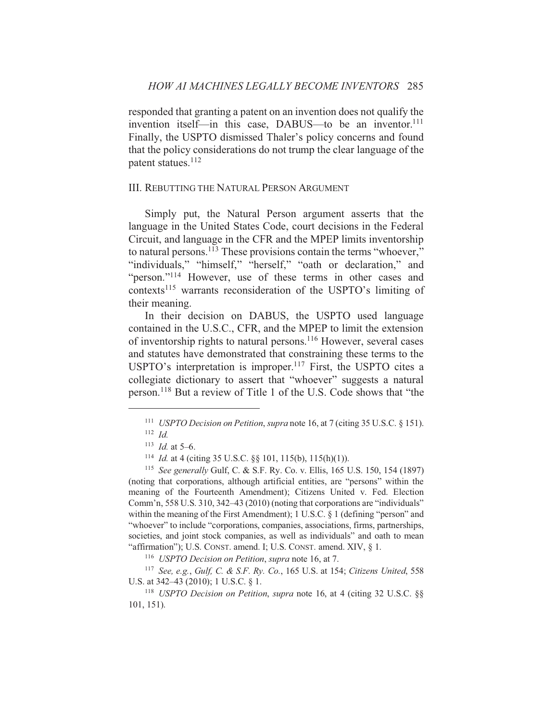responded that granting a patent on an invention does not qualify the invention itself—in this case, DABUS—to be an inventor.<sup>111</sup> Finally, the USPTO dismissed Thaler's policy concerns and found that the policy considerations do not trump the clear language of the patent statues.<sup>112</sup>

#### **III. REBUTTING THE NATURAL PERSON ARGUMENT**

Simply put, the Natural Person argument asserts that the language in the United States Code, court decisions in the Federal Circuit, and language in the CFR and the MPEP limits inventorship to natural persons.<sup>113</sup> These provisions contain the terms "whoever," "individuals," "himself," "herself," "oath or declaration," and "person."<sup>114</sup> However, use of these terms in other cases and contexts<sup>115</sup> warrants reconsideration of the USPTO's limiting of their meaning.

In their decision on DABUS, the USPTO used language contained in the U.S.C., CFR, and the MPEP to limit the extension of inventorship rights to natural persons.<sup>116</sup> However, several cases and statutes have demonstrated that constraining these terms to the USPTO's interpretation is improper.<sup>117</sup> First, the USPTO cites a collegiate dictionary to assert that "whoever" suggests a natural person.<sup>118</sup> But a review of Title 1 of the U.S. Code shows that "the

<sup>&</sup>lt;sup>111</sup> USPTO Decision on Petition, supra note 16, at 7 (citing 35 U.S.C. § 151).

 $112$  *Id.* 

 $113$  *Id.* at 5-6.

<sup>&</sup>lt;sup>114</sup> *Id.* at 4 (citing 35 U.S.C. §§ 101, 115(b), 115(h)(1)).

<sup>&</sup>lt;sup>115</sup> See generally Gulf, C. & S.F. Ry. Co. v. Ellis, 165 U.S. 150, 154 (1897) (noting that corporations, although artificial entities, are "persons" within the meaning of the Fourteenth Amendment); Citizens United v. Fed. Election Comm'n, 558 U.S. 310, 342–43 (2010) (noting that corporations are "individuals" within the meaning of the First Amendment);  $1 \text{ U.S.C. }$  8 1 (defining "person" and "whoever" to include "corporations, companies, associations, firms, partnerships, societies, and joint stock companies, as well as individuals" and oath to mean "affirmation"); U.S. CONST. amend. I; U.S. CONST. amend. XIV, § 1.

<sup>&</sup>lt;sup>116</sup> USPTO Decision on Petition, supra note 16, at 7.

<sup>&</sup>lt;sup>117</sup> See, e.g., Gulf, C. & S.F. Ry. Co., 165 U.S. at 154; Citizens United, 558 U.S. at 342-43 (2010); 1 U.S.C. § 1.

<sup>&</sup>lt;sup>118</sup> USPTO Decision on Petition, supra note 16, at 4 (citing 32 U.S.C. §§  $101, 151$ ).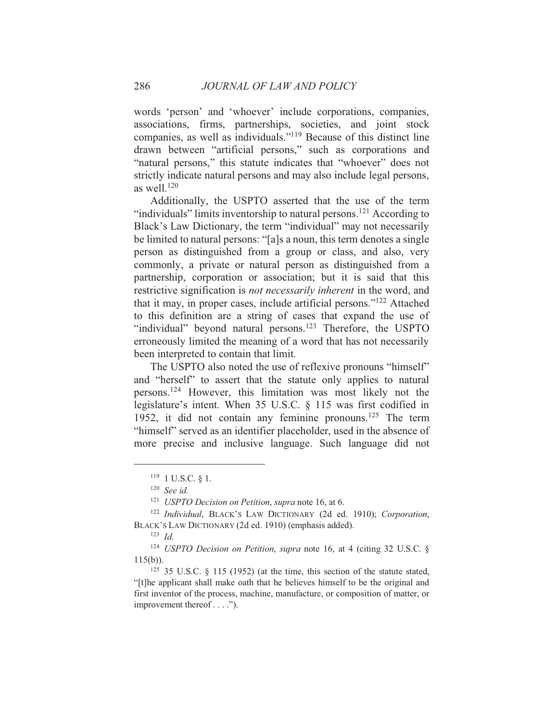words 'person' and 'whoever' include corporations, companies, associations, firms, partnerships, societies, and joint stock companies, as well as individuals."<sup>119</sup> Because of this distinct line drawn between "artificial persons," such as corporations and "natural persons," this statute indicates that "whoever" does not strictly indicate natural persons and may also include legal persons, as well  $120$ 

Additionally, the USPTO asserted that the use of the term "individuals" limits inventorship to natural persons.<sup>121</sup> According to Black's Law Dictionary, the term "individual" may not necessarily be limited to natural persons: "[a]s a noun, this term denotes a single person as distinguished from a group or class, and also, very commonly, a private or natural person as distinguished from a partnership, corporation or association; but it is said that this restrictive signification is *not necessarily inherent* in the word, and that it may, in proper cases, include artificial persons."<sup>122</sup> Attached to this definition are a string of cases that expand the use of "individual" beyond natural persons.<sup>123</sup> Therefore, the USPTO erroneously limited the meaning of a word that has not necessarily been interpreted to contain that limit.

The USPTO also noted the use of reflexive pronouns "himself" and "herself" to assert that the statute only applies to natural persons.<sup>124</sup> However, this limitation was most likely not the legislature's intent. When 35 U.S.C. § 115 was first codified in 1952, it did not contain any feminine pronouns.<sup>125</sup> The term "himself" served as an identifier placeholder, used in the absence of more precise and inclusive language. Such language did not

<sup>124</sup> USPTO Decision on Petition, supra note 16, at 4 (citing 32 U.S.C. §  $115(b)$ ).

 $119$  1 U.S.C. 8 1.

 $120$  See id.

<sup>&</sup>lt;sup>121</sup> USPTO Decision on Petition, supra note 16, at 6.

<sup>&</sup>lt;sup>122</sup> Individual, BLACK'S LAW DICTIONARY (2d ed. 1910); Corporation, BLACK's LAW DICTIONARY (2d ed. 1910) (emphasis added).

 $123$  *Id.* 

 $125$  35 U.S.C. § 115 (1952) (at the time, this section of the statute stated, "[t] the applicant shall make oath that he believes himself to be the original and first inventor of the process, machine, manufacture, or composition of matter, or improvement thereof  $\dots$  ").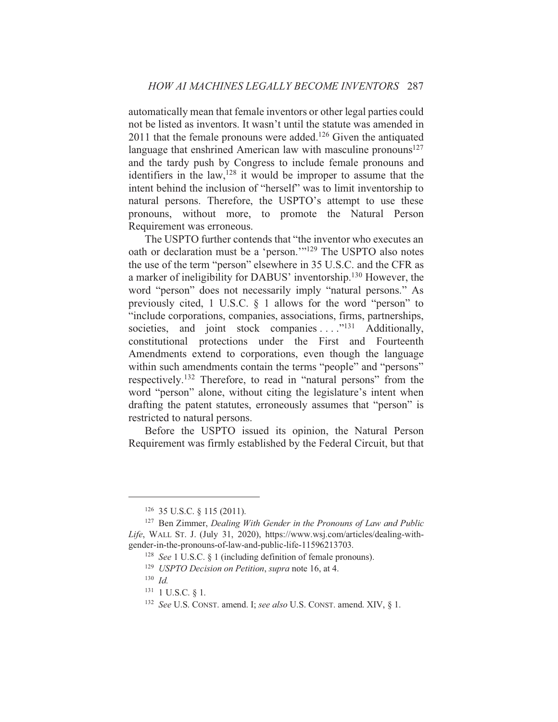automatically mean that female inventors or other legal parties could not be listed as inventors. It wasn't until the statute was amended in  $2011$  that the female pronouns were added.<sup>126</sup> Given the antiquated language that enshrined American law with masculine pronouns $127$ and the tardy push by Congress to include female pronouns and identifiers in the law,  $128$  it would be improper to assume that the intent behind the inclusion of "herself" was to limit inventorship to natural persons. Therefore, the USPTO's attempt to use these pronouns, without more, to promote the Natural Person Requirement was erroneous.

The USPTO further contends that "the inventor who executes an oath or declaration must be a 'person."<sup>129</sup> The USPTO also notes the use of the term "person" elsewhere in 35 U.S.C. and the CFR as a marker of ineligibility for DABUS' inventorship.<sup>130</sup> However, the word "person" does not necessarily imply "natural persons." As previously cited, 1 U.S.C.  $\S$  1 allows for the word "person" to "include corporations, companies, associations, firms, partnerships, societies, and joint stock companies ...."<sup>131</sup> Additionally, constitutional protections under the First and Fourteenth Amendments extend to corporations, even though the language within such amendments contain the terms "people" and "persons" respectively.<sup>132</sup> Therefore, to read in "natural persons" from the word "person" alone, without citing the legislature's intent when drafting the patent statutes, erroneously assumes that "person" is restricted to natural persons.

Before the USPTO issued its opinion, the Natural Person Requirement was firmly established by the Federal Circuit, but that

<sup>&</sup>lt;sup>126</sup> 35 U.S.C. § 115 (2011).

<sup>&</sup>lt;sup>127</sup> Ben Zimmer, Dealing With Gender in the Pronouns of Law and Public Life, WALL ST. J. (July 31, 2020), https://www.wsj.com/articles/dealing-withgender-in-the-pronouns-of-law-and-public-life-11596213703.

<sup>&</sup>lt;sup>128</sup> See 1 U.S.C. § 1 (including definition of female pronouns).

<sup>&</sup>lt;sup>129</sup> USPTO Decision on Petition, supra note 16, at 4.

 $130$  *Id.* 

 $131$  1 U.S.C. § 1.

<sup>&</sup>lt;sup>132</sup> See U.S. CONST. amend. I; see also U.S. CONST. amend. XIV, § 1.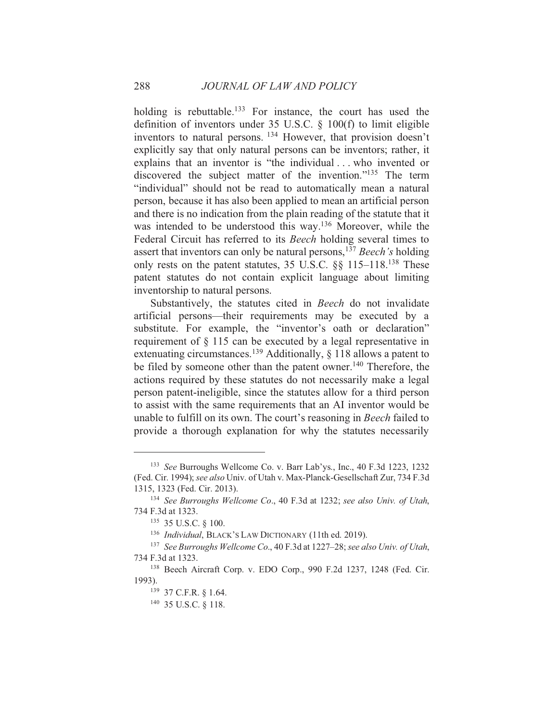holding is rebuttable.<sup>133</sup> For instance, the court has used the definition of inventors under 35 U.S.C.  $\S$  100(f) to limit eligible inventors to natural persons.<sup>134</sup> However, that provision doesn't explicitly say that only natural persons can be inventors; rather, it explains that an inventor is "the individual... who invented or discovered the subject matter of the invention."<sup>135</sup> The term "individual" should not be read to automatically mean a natural person, because it has also been applied to mean an artificial person and there is no indication from the plain reading of the statute that it was intended to be understood this way.<sup>136</sup> Moreover, while the Federal Circuit has referred to its Beech holding several times to assert that inventors can only be natural persons,<sup>137</sup> Beech's holding only rests on the patent statutes, 35 U.S.C. §§ 115-118.<sup>138</sup> These patent statutes do not contain explicit language about limiting inventorship to natural persons.

Substantively, the statutes cited in Beech do not invalidate artificial persons—their requirements may be executed by a substitute. For example, the "inventor's oath or declaration" requirement of  $\S$  115 can be executed by a legal representative in extenuating circumstances.<sup>139</sup> Additionally, § 118 allows a patent to be filed by someone other than the patent owner.<sup>140</sup> Therefore, the actions required by these statutes do not necessarily make a legal person patent-ineligible, since the statutes allow for a third person to assist with the same requirements that an AI inventor would be unable to fulfill on its own. The court's reasoning in *Beech* failed to provide a thorough explanation for why the statutes necessarily

<sup>&</sup>lt;sup>133</sup> See Burroughs Wellcome Co. v. Barr Lab'ys., Inc., 40 F.3d 1223, 1232 (Fed. Cir. 1994); see also Univ. of Utah v. Max-Planck-Gesellschaft Zur, 734 F.3d 1315, 1323 (Fed. Cir. 2013).

<sup>&</sup>lt;sup>134</sup> See Burroughs Wellcome Co., 40 F.3d at 1232; see also Univ. of Utah, 734 F.3d at 1323.

<sup>&</sup>lt;sup>135</sup> 35 U.S.C. § 100.

<sup>&</sup>lt;sup>136</sup> Individual, BLACK'S LAW DICTIONARY (11th ed. 2019).

<sup>&</sup>lt;sup>137</sup> See Burroughs Wellcome Co., 40 F.3d at 1227–28; see also Univ. of Utah, 734 F.3d at 1323.

<sup>&</sup>lt;sup>138</sup> Beech Aircraft Corp. v. EDO Corp., 990 F.2d 1237, 1248 (Fed. Cir. 1993).

<sup>&</sup>lt;sup>139</sup> 37 C.F.R. § 1.64.

<sup>&</sup>lt;sup>140</sup> 35 U.S.C. § 118.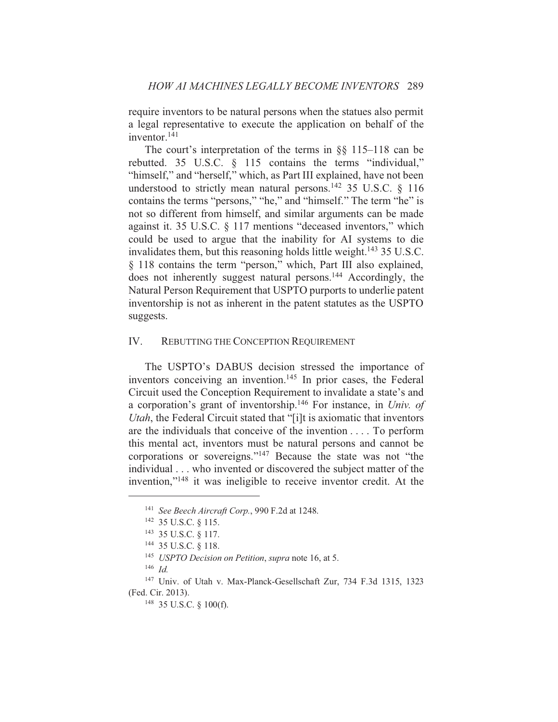require inventors to be natural persons when the statues also permit a legal representative to execute the application on behalf of the inventor. $141$ 

The court's interpretation of the terms in  $\S$ [§ 115–118 can be rebutted. 35 U.S.C.  $\S$  115 contains the terms "individual," "himself," and "herself," which, as Part III explained, have not been understood to strictly mean natural persons.<sup>142</sup> 35 U.S.C. § 116 contains the terms "persons," "he," and "himself." The term "he" is not so different from himself, and similar arguments can be made against it. 35 U.S.C. § 117 mentions "deceased inventors," which could be used to argue that the inability for AI systems to die invalidates them, but this reasoning holds little weight.<sup>143</sup> 35 U.S.C. § 118 contains the term "person," which, Part III also explained, does not inherently suggest natural persons.<sup>144</sup> Accordingly, the Natural Person Requirement that USPTO purports to underlie patent inventorship is not as inherent in the patent statutes as the USPTO suggests.

#### IV. REBUTTING THE CONCEPTION REQUIREMENT

The USPTO's DABUS decision stressed the importance of inventors conceiving an invention.<sup>145</sup> In prior cases, the Federal Circuit used the Conception Requirement to invalidate a state's and a corporation's grant of inventorship.<sup>146</sup> For instance, in *Univ. of Utah*, the Federal Circuit stated that "[i]t is axiomatic that inventors are the individuals that conceive of the invention . . . . To perform this mental act, inventors must be natural persons and cannot be corporations or sovereigns."<sup>147</sup> Because the state was not "the individual . . . who invented or discovered the subject matter of the invention,"<sup>148</sup> it was ineligible to receive inventor credit. At the

<sup>145</sup> USPTO Decision on Petition, supra note 16, at 5.

 $146$  *Id.* 

<sup>&</sup>lt;sup>141</sup> See Beech Aircraft Corp., 990 F.2d at 1248.

<sup>&</sup>lt;sup>142</sup> 35 U.S.C. § 115.

<sup>&</sup>lt;sup>143</sup> 35 U.S.C. § 117.

<sup>&</sup>lt;sup>144</sup> 35 U.S.C. § 118.

<sup>&</sup>lt;sup>147</sup> Univ. of Utah v. Max-Planck-Gesellschaft Zur, 734 F.3d 1315, 1323 (Fed. Cir. 2013).

 $148$  35 U.S.C. § 100(f).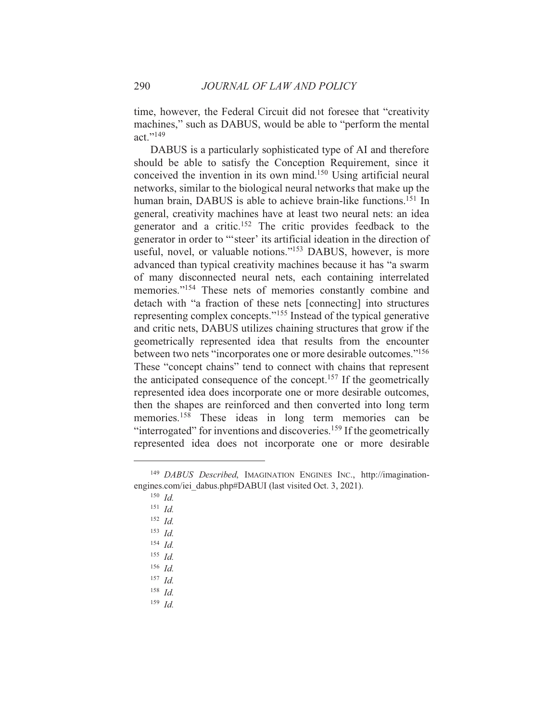time, however, the Federal Circuit did not foresee that "creativity machines," such as DABUS, would be able to "perform the mental"  $\text{act.} \cdot$ <sup>149</sup>

DABUS is a particularly sophisticated type of AI and therefore should be able to satisfy the Conception Requirement, since it conceived the invention in its own mind.<sup>150</sup> Using artificial neural networks, similar to the biological neural networks that make up the human brain, DABUS is able to achieve brain-like functions.<sup>151</sup> In general, creativity machines have at least two neural nets: an idea generator and a critic.<sup>152</sup> The critic provides feedback to the generator in order to "steer' its artificial ideation in the direction of useful, novel, or valuable notions."<sup>153</sup> DABUS, however, is more advanced than typical creativity machines because it has "a swarm of many disconnected neural nets, each containing interrelated memories."<sup>154</sup> These nets of memories constantly combine and detach with "a fraction of these nets [connecting] into structures representing complex concepts."<sup>155</sup> Instead of the typical generative and critic nets, DABUS utilizes chaining structures that grow if the geometrically represented idea that results from the encounter between two nets "incorporates one or more desirable outcomes."<sup>156</sup> These "concept chains" tend to connect with chains that represent the anticipated consequence of the concept.<sup>157</sup> If the geometrically represented idea does incorporate one or more desirable outcomes, then the shapes are reinforced and then converted into long term memories.<sup>158</sup> These ideas in long term memories can be "interrogated" for inventions and discoveries.<sup>159</sup> If the geometrically represented idea does not incorporate one or more desirable

<sup>&</sup>lt;sup>149</sup> DABUS Described, IMAGINATION ENGINES INC., http://imaginationengines.com/iei dabus.php#DABUI (last visited Oct. 3, 2021).

 $150$  *Id.* 

 $151$  *Id.* 

 $152$  *Id.* 

 $153$  *Id.* 

 $154$  *Id.* 

 $155$  *Id.* 

 $156$  *Id.* 

 $157$  *Id.* 

 $158$  *Id.* 

 $159$  *Id.*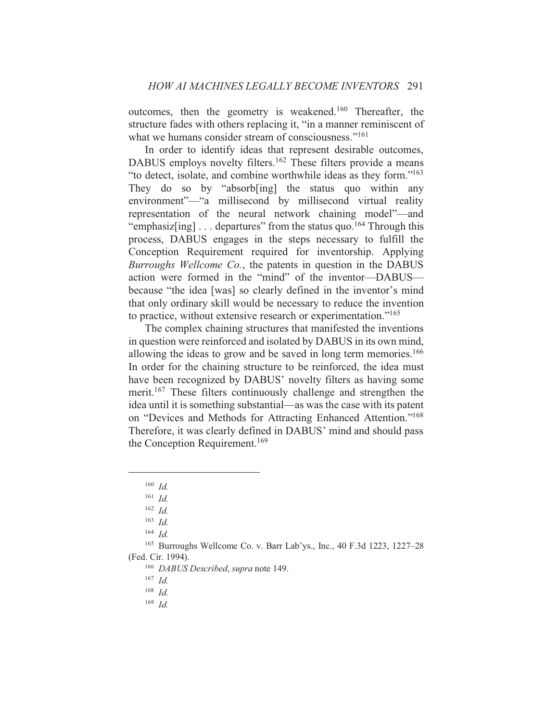outcomes, then the geometry is weakened.<sup>160</sup> Thereafter, the structure fades with others replacing it, "in a manner reminiscent of what we humans consider stream of consciousness."<sup>161</sup>

In order to identify ideas that represent desirable outcomes, DABUS employs novelty filters.<sup>162</sup> These filters provide a means "to detect, isolate, and combine worthwhile ideas as they form."<sup>163</sup> They do so by "absorb[ing] the status quo within any environment"—"a millisecond by millisecond virtual reality representation of the neural network chaining model"—and "emphasiz<sup>[ing]</sup>... departures" from the status quo.<sup>164</sup> Through this process, DABUS engages in the steps necessary to fulfill the Conception Requirement required for inventorship. Applying Burroughs Wellcome Co., the patents in question in the DABUS action were formed in the "mind" of the inventor-DABUSbecause "the idea [was] so clearly defined in the inventor's mind that only ordinary skill would be necessary to reduce the invention to practice, without extensive research or experimentation."<sup>165</sup>

The complex chaining structures that manifested the inventions in question were reinforced and isolated by DABUS in its own mind, allowing the ideas to grow and be saved in long term memories.<sup>166</sup> In order for the chaining structure to be reinforced, the idea must have been recognized by DABUS' novelty filters as having some merit.<sup>167</sup> These filters continuously challenge and strengthen the idea until it is something substantial—as was the case with its patent on "Devices and Methods for Attracting Enhanced Attention."<sup>168</sup> Therefore, it was clearly defined in DABUS' mind and should pass the Conception Requirement.<sup>169</sup>

<sup>165</sup> Burroughs Wellcome Co. v. Barr Lab'ys., Inc., 40 F.3d 1223, 1227-28 (Fed. Cir. 1994).

<sup>166</sup> DABUS Described, supra note 149.

 $168$  *Id.* 

 $169$  *Id.* 

 $160$  *Id.* 

 $161$  *Id.* 

 $162$  *Id.* 

 $163$  *Id.* 

 $164$  *Id.* 

 $167$  *Id.*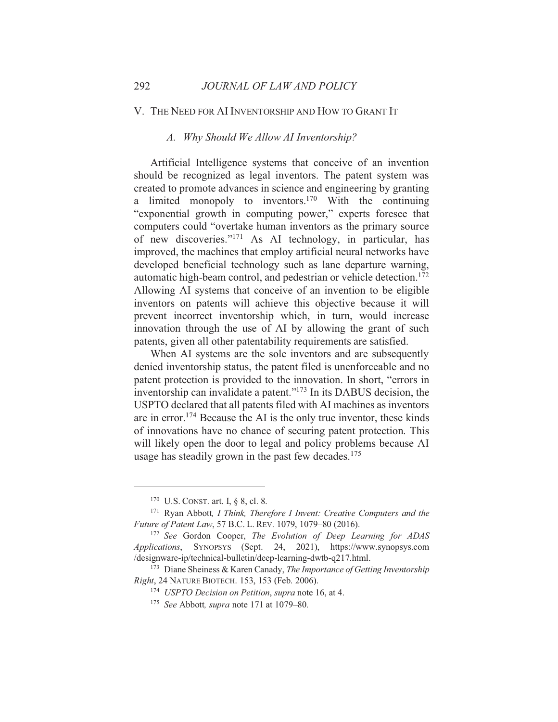#### V. THE NEED FOR AI INVENTORSHIP AND HOW TO GRANT IT

292

#### A. Why Should We Allow AI Inventorship?

Artificial Intelligence systems that conceive of an invention should be recognized as legal inventors. The patent system was created to promote advances in science and engineering by granting a limited monopoly to inventors.<sup>170</sup> With the continuing "exponential growth in computing power," experts foresee that computers could "overtake human inventors as the primary source" of new discoveries."<sup>171</sup> As AI technology, in particular, has improved, the machines that employ artificial neural networks have developed beneficial technology such as lane departure warning, automatic high-beam control, and pedestrian or vehicle detection.<sup>172</sup> Allowing AI systems that conceive of an invention to be eligible inventors on patents will achieve this objective because it will prevent incorrect inventorship which, in turn, would increase innovation through the use of AI by allowing the grant of such patents, given all other patentability requirements are satisfied.

When AI systems are the sole inventors and are subsequently denied inventorship status, the patent filed is unenforceable and no patent protection is provided to the innovation. In short, "errors in inventorship can invalidate a patent."<sup>173</sup> In its DABUS decision, the USPTO declared that all patents filed with AI machines as inventors are in error.<sup>174</sup> Because the AI is the only true inventor, these kinds of innovations have no chance of securing patent protection. This will likely open the door to legal and policy problems because AI usage has steadily grown in the past few decades.<sup>175</sup>

<sup>&</sup>lt;sup>170</sup> U.S. CONST. art. I, § 8, cl. 8.

<sup>&</sup>lt;sup>171</sup> Ryan Abbott, *I Think*, *Therefore I Invent: Creative Computers and the* Future of Patent Law, 57 B.C. L. REV. 1079, 1079–80 (2016).

<sup>&</sup>lt;sup>172</sup> See Gordon Cooper, The Evolution of Deep Learning for ADAS Applications, SYNOPSYS (Sept. 24, 2021), https://www.synopsys.com /designware-ip/technical-bulletin/deep-learning-dwtb-q217.html.

 $173$  Diane Sheiness & Karen Canady, The Importance of Getting Inventorship Right, 24 NATURE BIOTECH. 153, 153 (Feb. 2006).

<sup>&</sup>lt;sup>174</sup> USPTO Decision on Petition, supra note 16, at 4.

<sup>&</sup>lt;sup>175</sup> See Abbott, *supra* note 171 at 1079–80.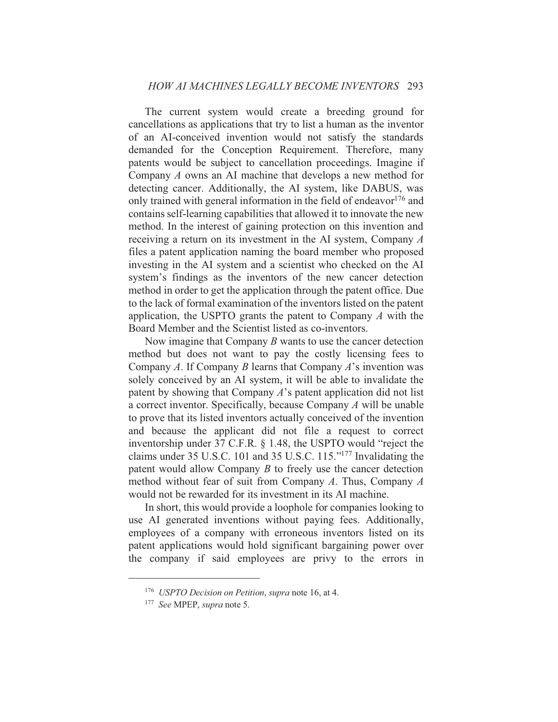The current system would create a breeding ground for cancellations as applications that try to list a human as the inventor of an AI-conceived invention would not satisfy the standards demanded for the Conception Requirement. Therefore, many patents would be subject to cancellation proceedings. Imagine if Company  $A$  owns an AI machine that develops a new method for detecting cancer. Additionally, the AI system, like DABUS, was only trained with general information in the field of endeavor<sup>176</sup> and contains self-learning capabilities that allowed it to innovate the new method. In the interest of gaining protection on this invention and receiving a return on its investment in the AI system, Company  $A$ files a patent application naming the board member who proposed investing in the AI system and a scientist who checked on the AI system's findings as the inventors of the new cancer detection method in order to get the application through the patent office. Due to the lack of formal examination of the inventors listed on the patent application, the USPTO grants the patent to Company  $A$  with the Board Member and the Scientist listed as co-inventors.

Now imagine that Company  $B$  wants to use the cancer detection method but does not want to pay the costly licensing fees to Company A. If Company B learns that Company  $A$ 's invention was solely conceived by an AI system, it will be able to invalidate the patent by showing that Company  $A$ 's patent application did not list a correct inventor. Specifically, because Company A will be unable to prove that its listed inventors actually conceived of the invention and because the applicant did not file a request to correct inventorship under 37 C.F.R. § 1.48, the USPTO would "reject the claims under 35 U.S.C. 101 and 35 U.S.C. 115."<sup>177</sup> Invalidating the patent would allow Company  $B$  to freely use the cancer detection method without fear of suit from Company  $A$ . Thus, Company  $A$ would not be rewarded for its investment in its AI machine.

In short, this would provide a loophole for companies looking to use AI generated inventions without paying fees. Additionally, employees of a company with erroneous inventors listed on its patent applications would hold significant bargaining power over the company if said employees are privy to the errors in

<sup>&</sup>lt;sup>176</sup> USPTO Decision on Petition, supra note 16, at 4.

<sup>&</sup>lt;sup>177</sup> See MPEP, supra note 5.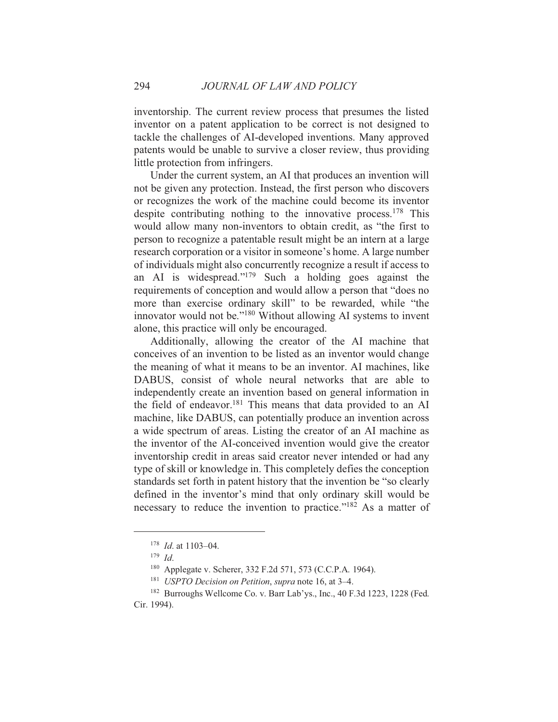inventorship. The current review process that presumes the listed inventor on a patent application to be correct is not designed to tackle the challenges of AI-developed inventions. Many approved patents would be unable to survive a closer review, thus providing little protection from infringers.

Under the current system, an AI that produces an invention will not be given any protection. Instead, the first person who discovers or recognizes the work of the machine could become its inventor despite contributing nothing to the innovative process.<sup>178</sup> This would allow many non-inventors to obtain credit, as "the first to person to recognize a patentable result might be an intern at a large research corporation or a visitor in someone's home. A large number of individuals might also concurrently recognize a result if access to an AI is widespread." $179$  Such a holding goes against the requirements of conception and would allow a person that "does no more than exercise ordinary skill" to be rewarded, while "the innovator would not be."<sup>180</sup> Without allowing AI systems to invent alone, this practice will only be encouraged.

Additionally, allowing the creator of the AI machine that conceives of an invention to be listed as an inventor would change the meaning of what it means to be an inventor. AI machines, like DABUS, consist of whole neural networks that are able to independently create an invention based on general information in the field of endeavor.<sup>181</sup> This means that data provided to an AI machine, like DABUS, can potentially produce an invention across a wide spectrum of areas. Listing the creator of an AI machine as the inventor of the AI-conceived invention would give the creator inventorship credit in areas said creator never intended or had any type of skill or knowledge in. This completely defies the conception standards set forth in patent history that the invention be "so clearly defined in the inventor's mind that only ordinary skill would be necessary to reduce the invention to practice."<sup>182</sup> As a matter of

 $178$  *Id.* at 1103-04.

 $179$  *Id.* 

<sup>&</sup>lt;sup>180</sup> Applegate v. Scherer, 332 F.2d 571, 573 (C.C.P.A. 1964).

<sup>&</sup>lt;sup>181</sup> USPTO Decision on Petition, supra note 16, at 3-4.

<sup>&</sup>lt;sup>182</sup> Burroughs Wellcome Co. v. Barr Lab'ys., Inc., 40 F.3d 1223, 1228 (Fed. Cir. 1994).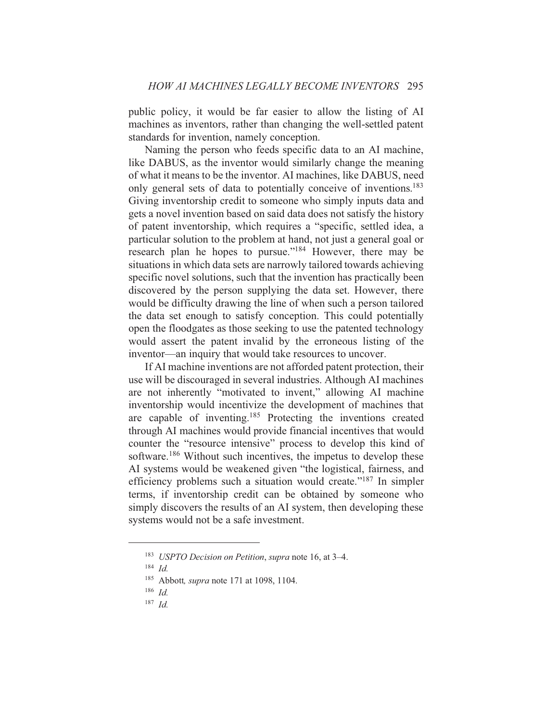public policy, it would be far easier to allow the listing of AI machines as inventors, rather than changing the well-settled patent standards for invention, namely conception.

Naming the person who feeds specific data to an AI machine, like DABUS, as the inventor would similarly change the meaning of what it means to be the inventor. AI machines, like DABUS, need only general sets of data to potentially conceive of inventions.<sup>183</sup> Giving inventorship credit to someone who simply inputs data and gets a novel invention based on said data does not satisfy the history of patent inventorship, which requires a "specific, settled idea, a particular solution to the problem at hand, not just a general goal or research plan he hopes to pursue."<sup>184</sup> However, there may be situations in which data sets are narrowly tailored towards achieving specific novel solutions, such that the invention has practically been discovered by the person supplying the data set. However, there would be difficulty drawing the line of when such a person tailored the data set enough to satisfy conception. This could potentially open the floodgates as those seeking to use the patented technology would assert the patent invalid by the erroneous listing of the inventor—an inquiry that would take resources to uncover.

If AI machine inventions are not afforded patent protection, their use will be discouraged in several industries. Although AI machines are not inherently "motivated to invent," allowing AI machine inventorship would incentivize the development of machines that are capable of inventing.<sup>185</sup> Protecting the inventions created through AI machines would provide financial incentives that would counter the "resource intensive" process to develop this kind of software.<sup>186</sup> Without such incentives, the impetus to develop these AI systems would be weakened given "the logistical, fairness, and efficiency problems such a situation would create."<sup>187</sup> In simpler terms, if inventorship credit can be obtained by someone who simply discovers the results of an AI system, then developing these systems would not be a safe investment.

<sup>&</sup>lt;sup>183</sup> USPTO Decision on Petition, supra note 16, at 3-4.

 $184$  *Id.* 

<sup>&</sup>lt;sup>185</sup> Abbott, *supra* note 171 at 1098, 1104.

 $186$  *Id.* 

 $187$  *Id.*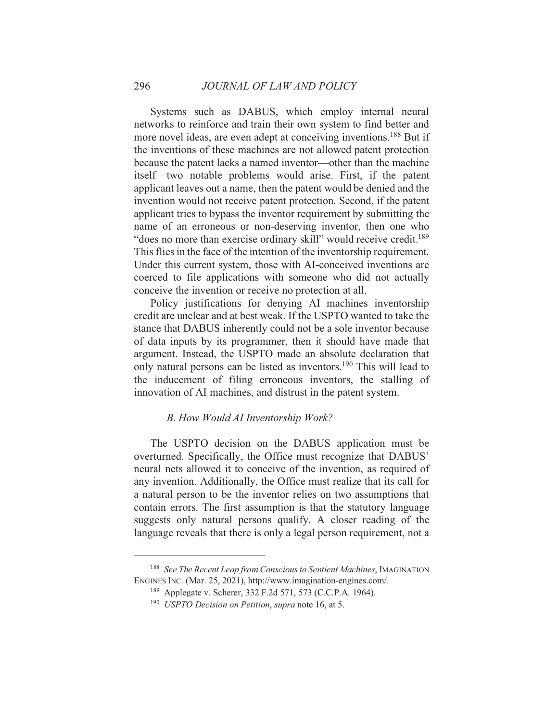296

Systems such as DABUS, which employ internal neural networks to reinforce and train their own system to find better and more novel ideas, are even adept at conceiving inventions.<sup>188</sup> But if the inventions of these machines are not allowed patent protection because the patent lacks a named inventor—other than the machine itself—two notable problems would arise. First, if the patent applicant leaves out a name, then the patent would be denied and the invention would not receive patent protection. Second, if the patent applicant tries to bypass the inventor requirement by submitting the name of an erroneous or non-deserving inventor, then one who "does no more than exercise ordinary skill" would receive credit.<sup>189</sup> This flies in the face of the intention of the inventorship requirement. Under this current system, those with AI-conceived inventions are coerced to file applications with someone who did not actually conceive the invention or receive no protection at all.

Policy justifications for denying AI machines inventorship credit are unclear and at best weak. If the USPTO wanted to take the stance that DABUS inherently could not be a sole inventor because of data inputs by its programmer, then it should have made that argument. Instead, the USPTO made an absolute declaration that only natural persons can be listed as inventors.<sup>190</sup> This will lead to the inducement of filing erroneous inventors, the stalling of innovation of AI machines, and distrust in the patent system.

#### B. How Would AI Inventorship Work?

The USPTO decision on the DABUS application must be overturned. Specifically, the Office must recognize that DABUS' neural nets allowed it to conceive of the invention, as required of any invention. Additionally, the Office must realize that its call for a natural person to be the inventor relies on two assumptions that contain errors. The first assumption is that the statutory language suggests only natural persons qualify. A closer reading of the language reveals that there is only a legal person requirement, not a

<sup>&</sup>lt;sup>188</sup> See The Recent Leap from Conscious to Sentient Machines, IMAGINATION ENGINES INC. (Mar. 25, 2021), http://www.imagination-engines.com/.

<sup>&</sup>lt;sup>189</sup> Applegate v. Scherer, 332 F.2d 571, 573 (C.C.P.A. 1964).

 $^{190}$  USPTO Decision on Petition, supra note 16, at 5.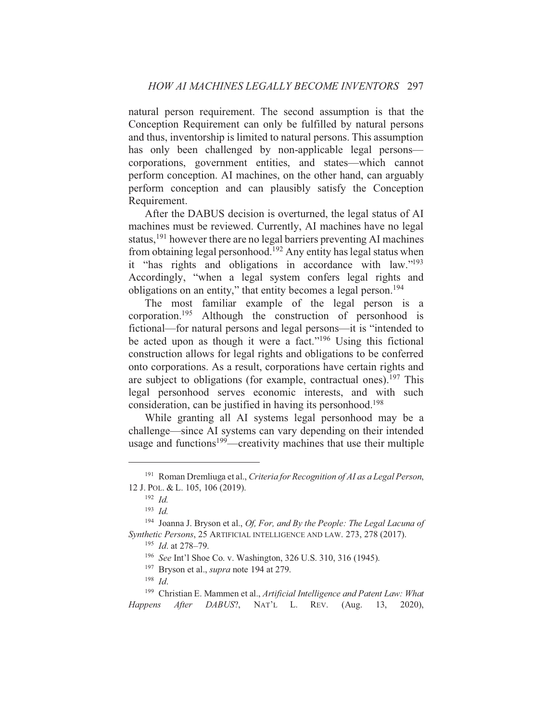natural person requirement. The second assumption is that the Conception Requirement can only be fulfilled by natural persons and thus, inventorship is limited to natural persons. This assumption has only been challenged by non-applicable legal persons corporations, government entities, and states—which cannot perform conception. AI machines, on the other hand, can arguably perform conception and can plausibly satisfy the Conception Requirement.

After the DABUS decision is overturned, the legal status of AI machines must be reviewed. Currently, AI machines have no legal status,<sup>191</sup> however there are no legal barriers preventing AI machines from obtaining legal personhood.<sup>192</sup> Any entity has legal status when it "has rights and obligations in accordance with law."<sup>193</sup> Accordingly, "when a legal system confers legal rights and obligations on an entity," that entity becomes a legal person.<sup>194</sup>

The most familiar example of the legal person is a corporation.<sup>195</sup> Although the construction of personhood is fictional—for natural persons and legal persons—it is "intended to be acted upon as though it were a fact."<sup>196</sup> Using this fictional construction allows for legal rights and obligations to be conferred onto corporations. As a result, corporations have certain rights and are subject to obligations (for example, contractual ones).<sup>197</sup> This legal personhood serves economic interests, and with such consideration, can be justified in having its personhood.<sup>198</sup>

While granting all AI systems legal personhood may be a challenge—since AI systems can vary depending on their intended usage and functions<sup>199</sup>—creativity machines that use their multiple

<sup>&</sup>lt;sup>191</sup> Roman Dremliuga et al., Criteria for Recognition of AI as a Legal Person, 12 J. POL. & L. 105, 106 (2019).

 $192$  *Id.* 

 $193$  *Id.* 

<sup>&</sup>lt;sup>194</sup> Joanna J. Bryson et al., *Of, For, and By the People: The Legal Lacuna of* Synthetic Persons, 25 ARTIFICIAL INTELLIGENCE AND LAW. 273, 278 (2017).

<sup>&</sup>lt;sup>195</sup> *Id.* at 278-79.

<sup>&</sup>lt;sup>196</sup> See Int'l Shoe Co. v. Washington, 326 U.S. 310, 316 (1945).

<sup>&</sup>lt;sup>197</sup> Bryson et al., *supra* note 194 at 279.

 $198$  *Id.* 

<sup>&</sup>lt;sup>199</sup> Christian E. Mammen et al., Artificial Intelligence and Patent Law: What Happens After DABUS?, NAT'L L. REV.  $(Aug. 13,$  $2020$ ).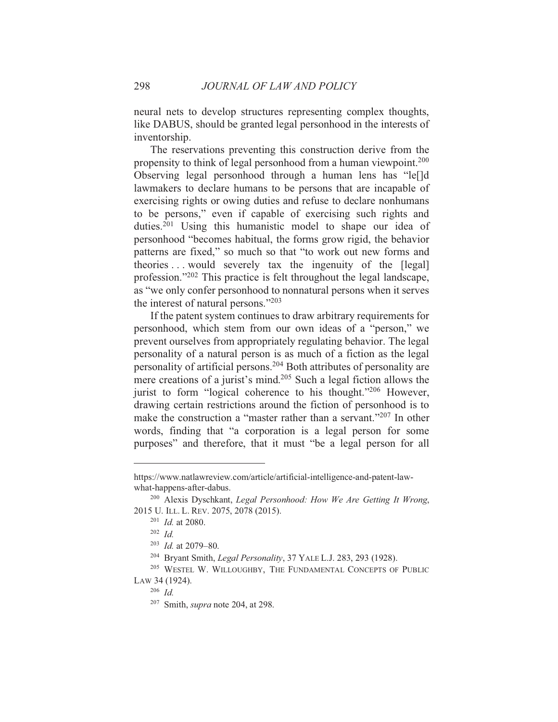neural nets to develop structures representing complex thoughts, like DABUS, should be granted legal personhood in the interests of inventorship.

The reservations preventing this construction derive from the propensity to think of legal personhood from a human viewpoint.<sup>200</sup> Observing legal personhood through a human lens has "le[]d lawmakers to declare humans to be persons that are incapable of exercising rights or owing duties and refuse to declare nonhumans to be persons," even if capable of exercising such rights and duties.<sup>201</sup> Using this humanistic model to shape our idea of personhood "becomes habitual, the forms grow rigid, the behavior patterns are fixed," so much so that "to work out new forms and theories... would severely tax the ingenuity of the [legal] profession."<sup>202</sup> This practice is felt throughout the legal landscape, as "we only confer personhood to nonnatural persons when it serves the interest of natural persons."203

If the patent system continues to draw arbitrary requirements for personhood, which stem from our own ideas of a "person," we prevent ourselves from appropriately regulating behavior. The legal personality of a natural person is as much of a fiction as the legal personality of artificial persons.<sup>204</sup> Both attributes of personality are mere creations of a jurist's mind.<sup>205</sup> Such a legal fiction allows the jurist to form "logical coherence to his thought."206 However, drawing certain restrictions around the fiction of personhood is to make the construction a "master rather than a servant."207 In other words, finding that "a corporation is a legal person for some purposes" and therefore, that it must "be a legal person for all

https://www.natlawreview.com/article/artificial-intelligence-and-patent-lawwhat-happens-after-dabus.

<sup>&</sup>lt;sup>200</sup> Alexis Dyschkant, *Legal Personhood: How We Are Getting It Wrong*, 2015 U. ILL. L. REV. 2075, 2078 (2015).

 $201$  *Id.* at 2080.

 $202$  *Id.* 

 $203$  *Id.* at 2079-80.

<sup>&</sup>lt;sup>204</sup> Bryant Smith, *Legal Personality*, 37 YALE L.J. 283, 293 (1928).

<sup>&</sup>lt;sup>205</sup> WESTEL W. WILLOUGHBY, THE FUNDAMENTAL CONCEPTS OF PUBLIC LAW 34 (1924).

 $206$  *Id.* 

 $207$  Smith, *supra* note 204, at 298.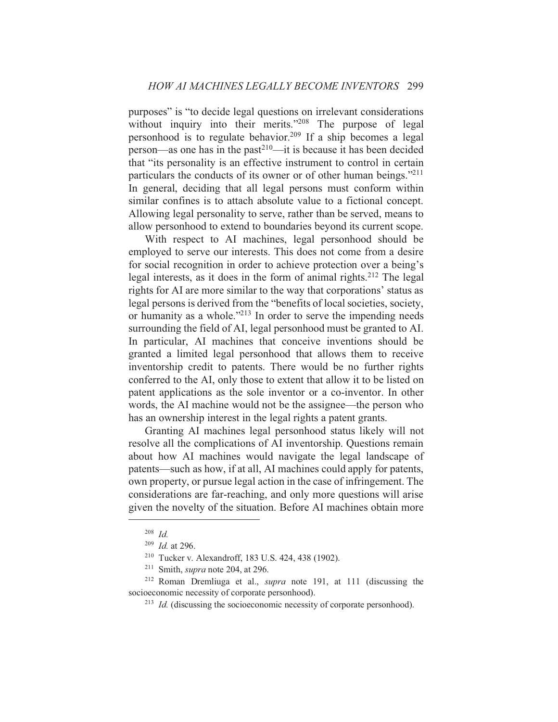purposes" is "to decide legal questions on irrelevant considerations without inquiry into their merits."208 The purpose of legal personhood is to regulate behavior.<sup>209</sup> If a ship becomes a legal person—as one has in the past<sup>210</sup>—it is because it has been decided that "its personality is an effective instrument to control in certain particulars the conducts of its owner or of other human beings."<sup>211</sup> In general, deciding that all legal persons must conform within similar confines is to attach absolute value to a fictional concept. Allowing legal personality to serve, rather than be served, means to allow personhood to extend to boundaries beyond its current scope.

With respect to AI machines, legal personhood should be employed to serve our interests. This does not come from a desire for social recognition in order to achieve protection over a being's legal interests, as it does in the form of animal rights.<sup>212</sup> The legal rights for AI are more similar to the way that corporations' status as legal persons is derived from the "benefits of local societies, society, or humanity as a whole." $2^{13}$  In order to serve the impending needs surrounding the field of AI, legal personhood must be granted to AI. In particular, AI machines that conceive inventions should be granted a limited legal personhood that allows them to receive inventorship credit to patents. There would be no further rights conferred to the AI, only those to extent that allow it to be listed on patent applications as the sole inventor or a co-inventor. In other words, the AI machine would not be the assignee—the person who has an ownership interest in the legal rights a patent grants.

Granting AI machines legal personhood status likely will not resolve all the complications of AI inventorship. Questions remain about how AI machines would navigate the legal landscape of patents—such as how, if at all, AI machines could apply for patents, own property, or pursue legal action in the case of infringement. The considerations are far-reaching, and only more questions will arise given the novelty of the situation. Before AI machines obtain more

 $208$  *Id.* 

 $209$  *Id.* at 296.

<sup>&</sup>lt;sup>210</sup> Tucker v. Alexandroff, 183 U.S. 424, 438 (1902).

<sup>&</sup>lt;sup>211</sup> Smith, *supra* note 204, at 296.

 $212$  Roman Dremliuga et al., *supra* note 191, at 111 (discussing the socioeconomic necessity of corporate personhood).

 $^{213}$  *Id.* (discussing the socioeconomic necessity of corporate personhood).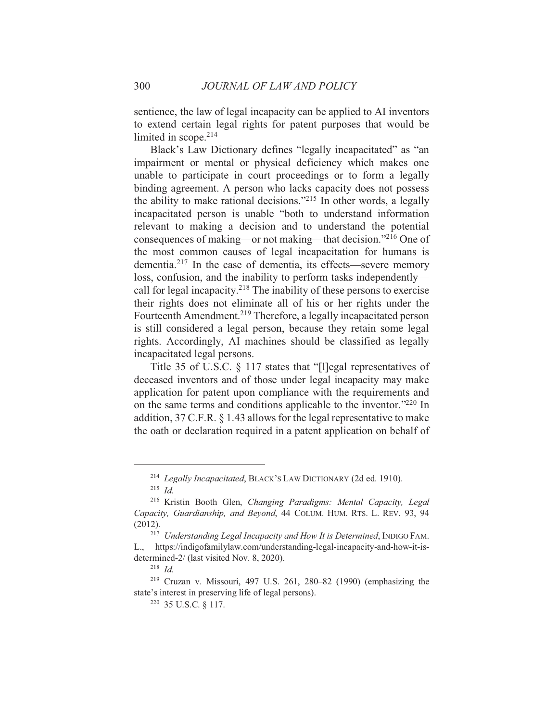sentience, the law of legal incapacity can be applied to AI inventors to extend certain legal rights for patent purposes that would be limited in scope.<sup>214</sup>

Black's Law Dictionary defines "legally incapacitated" as "an impairment or mental or physical deficiency which makes one unable to participate in court proceedings or to form a legally binding agreement. A person who lacks capacity does not possess the ability to make rational decisions."<sup>215</sup> In other words, a legally incapacitated person is unable "both to understand information relevant to making a decision and to understand the potential consequences of making—or not making—that decision."<sup>216</sup> One of the most common causes of legal incapacitation for humans is dementia.<sup>217</sup> In the case of dementia, its effects—severe memory loss, confusion, and the inability to perform tasks independently call for legal incapacity.<sup>218</sup> The inability of these persons to exercise their rights does not eliminate all of his or her rights under the Fourteenth Amendment.<sup>219</sup> Therefore, a legally incapacitated person is still considered a legal person, because they retain some legal rights. Accordingly, AI machines should be classified as legally incapacitated legal persons.

Title 35 of U.S.C. § 117 states that "[l]egal representatives of deceased inventors and of those under legal incapacity may make application for patent upon compliance with the requirements and on the same terms and conditions applicable to the inventor."220 In addition, 37 C.F.R. § 1.43 allows for the legal representative to make the oath or declaration required in a patent application on behalf of

<sup>&</sup>lt;sup>214</sup> Legally Incapacitated, BLACK'S LAW DICTIONARY (2d ed. 1910).

 $215$  *Id.* 

<sup>&</sup>lt;sup>216</sup> Kristin Booth Glen, Changing Paradigms: Mental Capacity, Legal Capacity, Guardianship, and Beyond, 44 COLUM. HUM. RTS. L. REV. 93, 94  $(2012).$ 

<sup>&</sup>lt;sup>217</sup> Understanding Legal Incapacity and How It is Determined, INDIGO FAM. L., https://indigofamilylaw.com/understanding-legal-incapacity-and-how-it-isdetermined-2/ (last visited Nov. 8, 2020).

 $218$  *Id.* 

 $219$  Cruzan v. Missouri, 497 U.S. 261, 280-82 (1990) (emphasizing the state's interest in preserving life of legal persons).

 $220$  35 U.S.C. 8 117.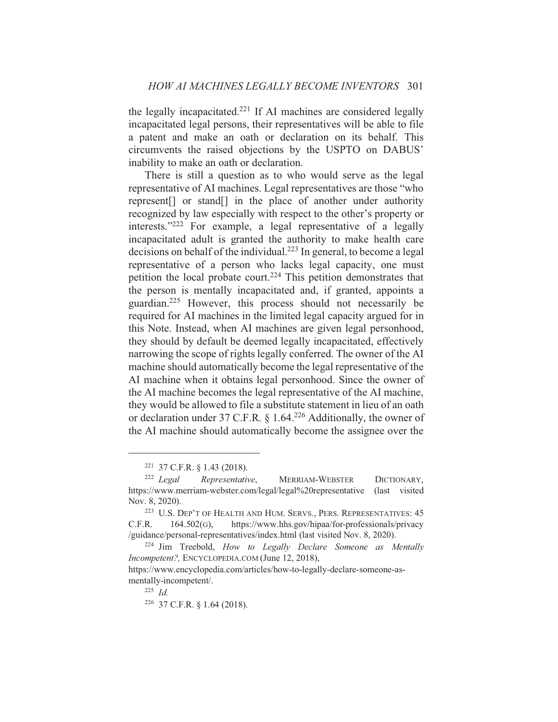the legally incapacitated.<sup>221</sup> If AI machines are considered legally incapacitated legal persons, their representatives will be able to file a patent and make an oath or declaration on its behalf. This circumvents the raised objections by the USPTO on DABUS' inability to make an oath or declaration.

There is still a question as to who would serve as the legal representative of AI machines. Legal representatives are those "who represent or stand in the place of another under authority recognized by law especially with respect to the other's property or interests."<sup>222</sup> For example, a legal representative of a legally incapacitated adult is granted the authority to make health care decisions on behalf of the individual.<sup>223</sup> In general, to become a legal representative of a person who lacks legal capacity, one must petition the local probate court.<sup>224</sup> This petition demonstrates that the person is mentally incapacitated and, if granted, appoints a guardian.<sup>225</sup> However, this process should not necessarily be required for AI machines in the limited legal capacity argued for in this Note. Instead, when AI machines are given legal personhood, they should by default be deemed legally incapacitated, effectively narrowing the scope of rights legally conferred. The owner of the AI machine should automatically become the legal representative of the AI machine when it obtains legal personhood. Since the owner of the AI machine becomes the legal representative of the AI machine, they would be allowed to file a substitute statement in lieu of an oath or declaration under 37 C.F.R.  $\frac{1.64^2}{6}$  Additionally, the owner of the AI machine should automatically become the assignee over the

 $221$  37 C.F.R. § 1.43 (2018).

 $222$  Legal Representative, MERRIAM-WEBSTER DICTIONARY, https://www.merriam-webster.com/legal/legal%20representative (last visited Nov. 8, 2020).

<sup>&</sup>lt;sup>223</sup> U.S. DEP'T OF HEALTH AND HUM. SERVS., PERS. REPRESENTATIVES: 45 https://www.hhs.gov/hipaa/for-professionals/privacy  $C.F.R.$  $164.502(G)$ . /guidance/personal-representatives/index.html (last visited Nov. 8, 2020).

<sup>&</sup>lt;sup>224</sup> Jim Treebold, How to Legally Declare Someone as Mentally Incompetent?, ENCYCLOPEDIA.COM (June 12, 2018),

https://www.encyclopedia.com/articles/how-to-legally-declare-someone-asmentally-incompetent/.

 $225$  Id.

<sup>&</sup>lt;sup>226</sup> 37 C.F.R. § 1.64 (2018).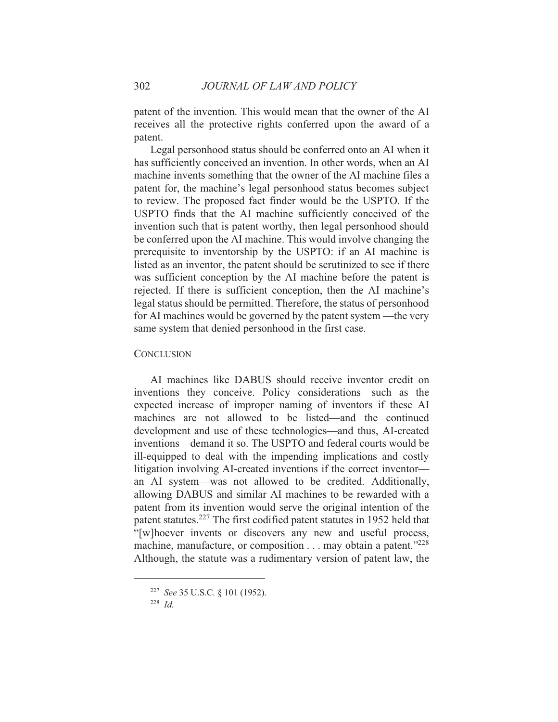patent of the invention. This would mean that the owner of the AI receives all the protective rights conferred upon the award of a patent.

Legal personhood status should be conferred onto an AI when it has sufficiently conceived an invention. In other words, when an AI machine invents something that the owner of the AI machine files a patent for, the machine's legal personhood status becomes subject to review. The proposed fact finder would be the USPTO. If the USPTO finds that the AI machine sufficiently conceived of the invention such that is patent worthy, then legal personhood should be conferred upon the AI machine. This would involve changing the prerequisite to inventorship by the USPTO: if an AI machine is listed as an inventor, the patent should be scrutinized to see if there was sufficient conception by the AI machine before the patent is rejected. If there is sufficient conception, then the AI machine's legal status should be permitted. Therefore, the status of personhood for AI machines would be governed by the patent system — the very same system that denied personhood in the first case.

#### CONCLUSION

AI machines like DABUS should receive inventor credit on inventions they conceive. Policy considerations—such as the expected increase of improper naming of inventors if these AI machines are not allowed to be listed—and the continued development and use of these technologies—and thus, AI-created inventions—demand it so. The USPTO and federal courts would be ill-equipped to deal with the impending implications and costly litigation involving AI-created inventions if the correct inventor an AI system—was not allowed to be credited. Additionally, allowing DABUS and similar AI machines to be rewarded with a patent from its invention would serve the original intention of the patent statutes.<sup>227</sup> The first codified patent statutes in 1952 held that "[w]hoever invents or discovers any new and useful process, machine, manufacture, or composition  $\dots$  may obtain a patent."<sup>228</sup> Although, the statute was a rudimentary version of patent law, the

<sup>&</sup>lt;sup>227</sup> See 35 U.S.C. § 101 (1952).

<sup>&</sup>lt;sup>228</sup> Id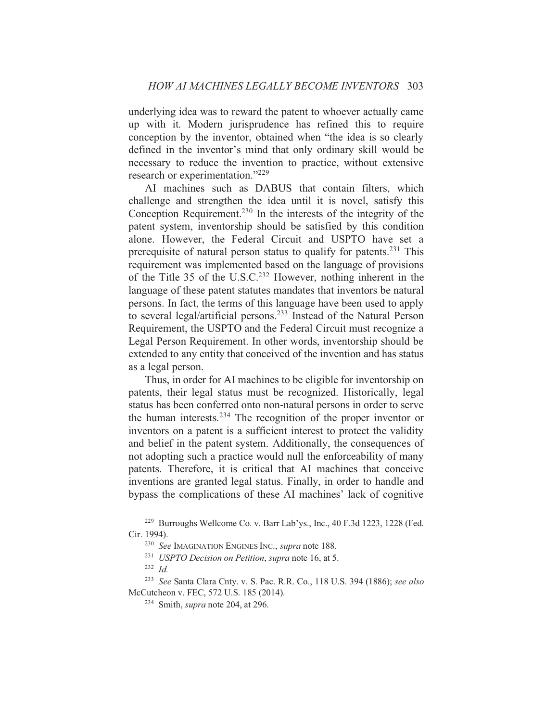underlying idea was to reward the patent to whoever actually came up with it. Modern jurisprudence has refined this to require conception by the inventor, obtained when "the idea is so clearly defined in the inventor's mind that only ordinary skill would be necessary to reduce the invention to practice, without extensive research or experimentation."229

AI machines such as DABUS that contain filters, which challenge and strengthen the idea until it is novel, satisfy this Conception Requirement.<sup>230</sup> In the interests of the integrity of the patent system, inventorship should be satisfied by this condition alone. However, the Federal Circuit and USPTO have set a prerequisite of natural person status to qualify for patents.<sup>231</sup> This requirement was implemented based on the language of provisions of the Title 35 of the U.S.C.<sup>232</sup> However, nothing inherent in the language of these patent statutes mandates that inventors be natural persons. In fact, the terms of this language have been used to apply to several legal/artificial persons.<sup>233</sup> Instead of the Natural Person Requirement, the USPTO and the Federal Circuit must recognize a Legal Person Requirement. In other words, inventorship should be extended to any entity that conceived of the invention and has status as a legal person.

Thus, in order for AI machines to be eligible for inventorship on patents, their legal status must be recognized. Historically, legal status has been conferred onto non-natural persons in order to serve the human interests.<sup>234</sup> The recognition of the proper inventor or inventors on a patent is a sufficient interest to protect the validity and belief in the patent system. Additionally, the consequences of not adopting such a practice would null the enforceability of many patents. Therefore, it is critical that AI machines that conceive inventions are granted legal status. Finally, in order to handle and bypass the complications of these AI machines' lack of cognitive

<sup>&</sup>lt;sup>229</sup> Burroughs Wellcome Co. v. Barr Lab'ys., Inc., 40 F.3d 1223, 1228 (Fed. Cir. 1994).

<sup>&</sup>lt;sup>230</sup> See IMAGINATION ENGINES INC., supra note 188.

<sup>&</sup>lt;sup>231</sup> USPTO Decision on Petition, supra note 16, at 5.

 $232$  *Id.* 

<sup>&</sup>lt;sup>233</sup> See Santa Clara Cnty. v. S. Pac. R.R. Co., 118 U.S. 394 (1886); see also McCutcheon v. FEC, 572 U.S. 185 (2014).

<sup>&</sup>lt;sup>234</sup> Smith, *supra* note 204, at 296.